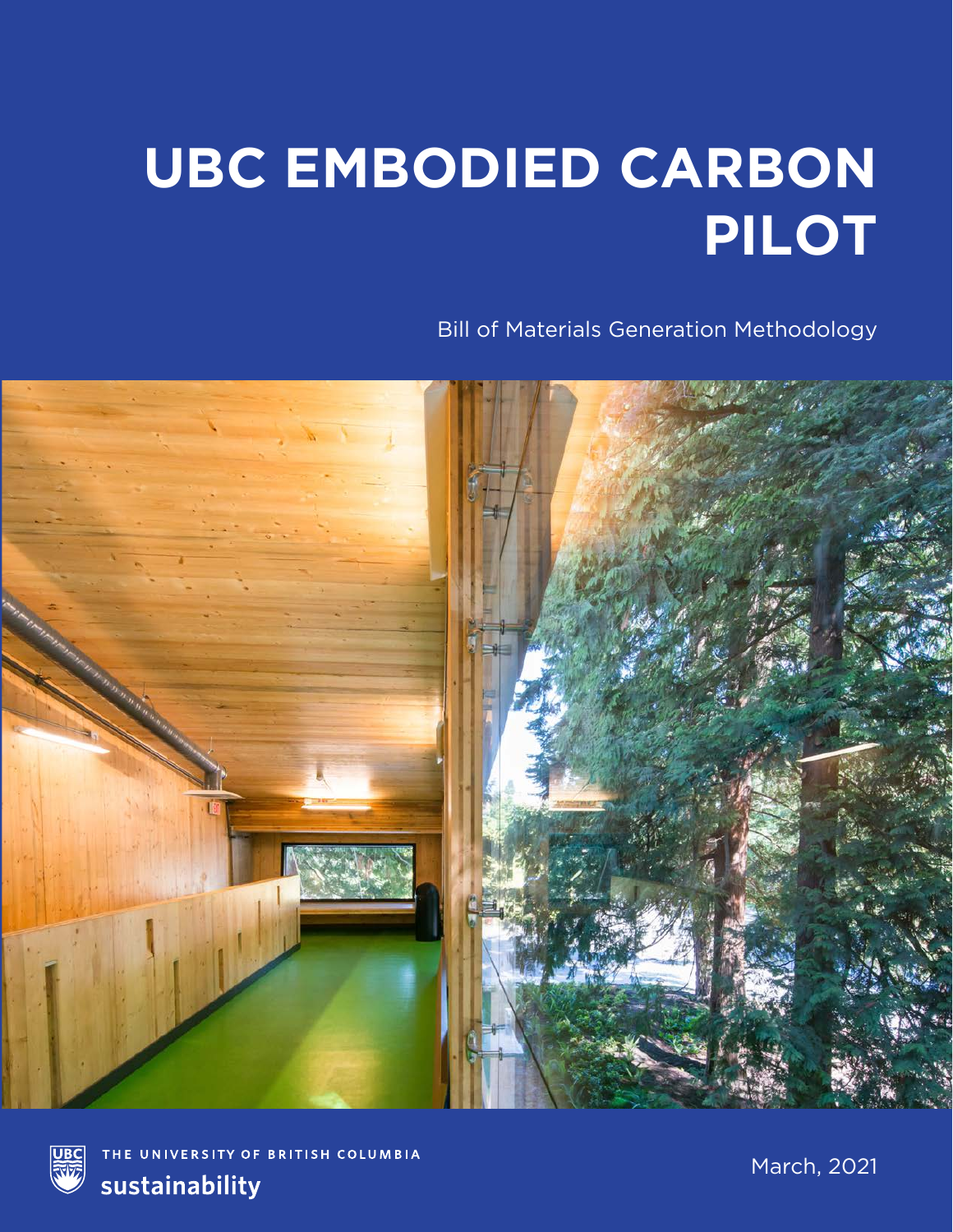## **UBC EMBODIED CARBON PILOT**

Bill of Materials Generation Methodology





THE UNIVERSITY OF BRITISH COLUMBIA sustainability

March, 2021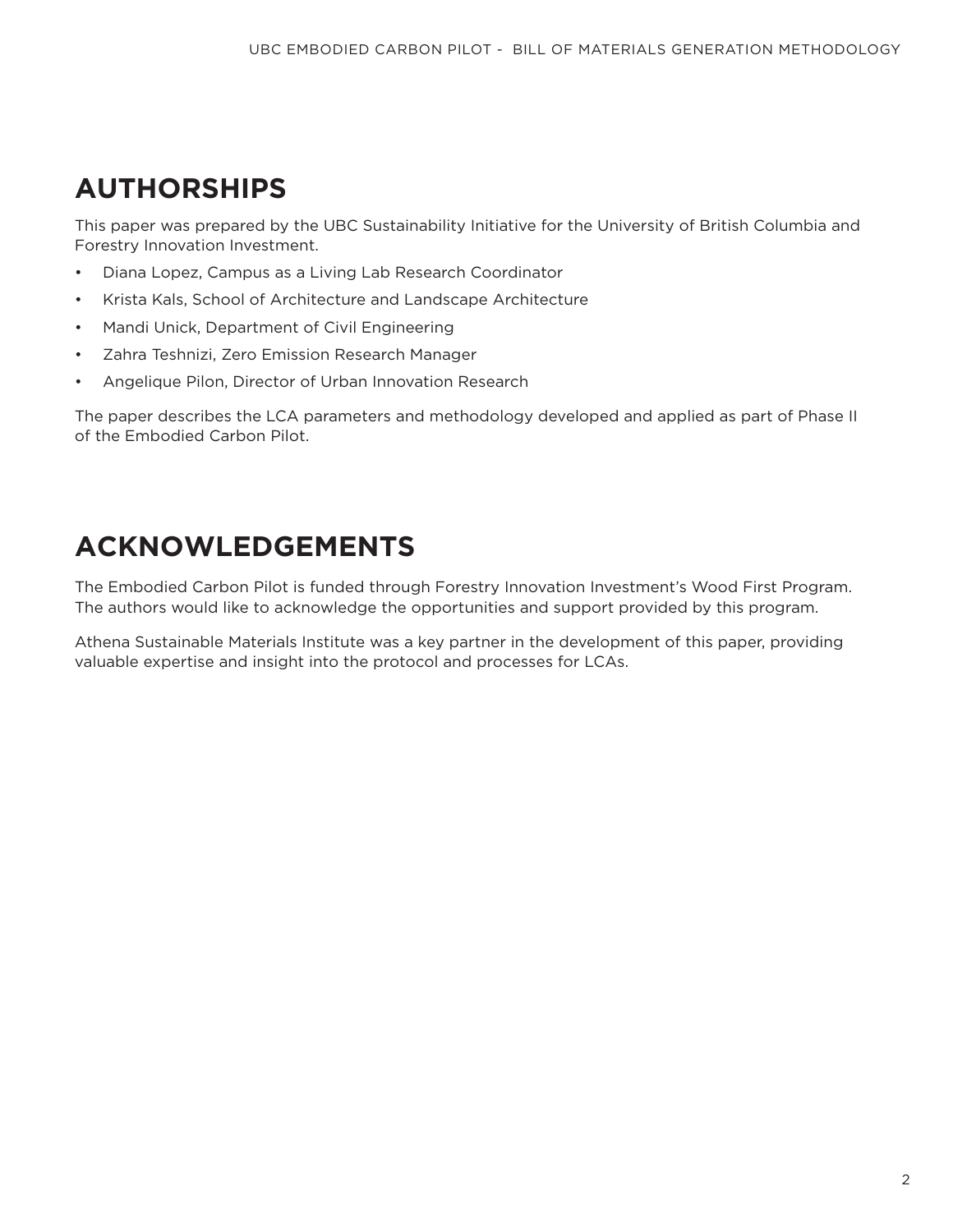## **AUTHORSHIPS**

This paper was prepared by the UBC Sustainability Initiative for the University of British Columbia and Forestry Innovation Investment.

- Diana Lopez, Campus as a Living Lab Research Coordinator
- Krista Kals, School of Architecture and Landscape Architecture
- Mandi Unick, Department of Civil Engineering
- Zahra Teshnizi, Zero Emission Research Manager
- Angelique Pilon, Director of Urban Innovation Research

The paper describes the LCA parameters and methodology developed and applied as part of Phase II of the Embodied Carbon Pilot.

## **ACKNOWLEDGEMENTS**

The Embodied Carbon Pilot is funded through Forestry Innovation Investment's Wood First Program. The authors would like to acknowledge the opportunities and support provided by this program.

Athena Sustainable Materials Institute was a key partner in the development of this paper, providing valuable expertise and insight into the protocol and processes for LCAs.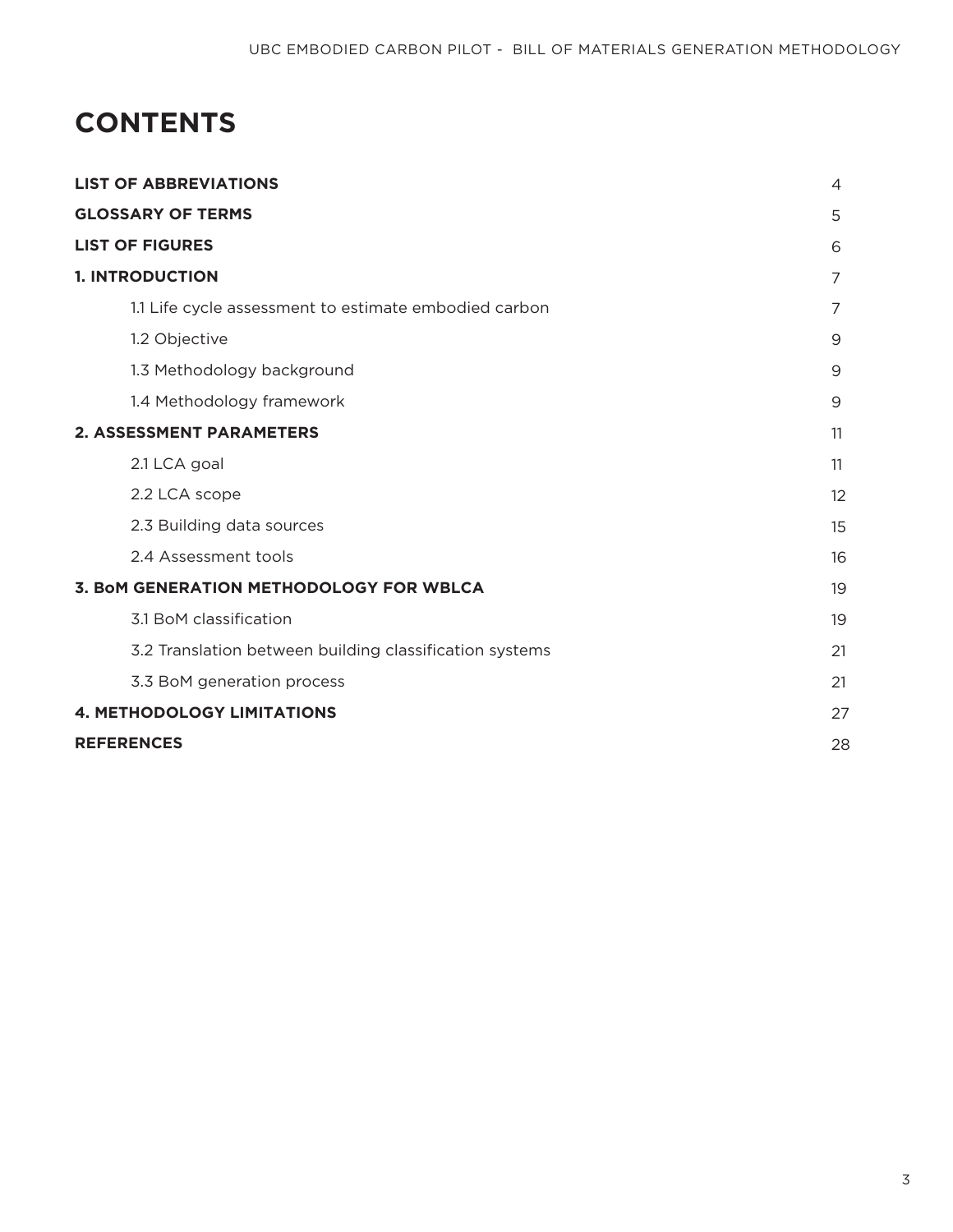## **CONTENTS**

| <b>LIST OF ABBREVIATIONS</b>                            |    |  |  |  |  |
|---------------------------------------------------------|----|--|--|--|--|
| <b>GLOSSARY OF TERMS</b>                                | 5  |  |  |  |  |
| <b>LIST OF FIGURES</b>                                  | 6  |  |  |  |  |
| <b>1. INTRODUCTION</b>                                  | 7  |  |  |  |  |
| 1.1 Life cycle assessment to estimate embodied carbon   | 7  |  |  |  |  |
| 1.2 Objective                                           | 9  |  |  |  |  |
| 1.3 Methodology background                              | 9  |  |  |  |  |
| 1.4 Methodology framework                               | 9  |  |  |  |  |
| <b>2. ASSESSMENT PARAMETERS</b>                         | 11 |  |  |  |  |
| 2.1 LCA goal                                            | 11 |  |  |  |  |
| 2.2 LCA scope                                           | 12 |  |  |  |  |
| 2.3 Building data sources                               | 15 |  |  |  |  |
| 2.4 Assessment tools                                    | 16 |  |  |  |  |
| 3. BoM GENERATION METHODOLOGY FOR WBLCA                 | 19 |  |  |  |  |
| 3.1 BoM classification                                  | 19 |  |  |  |  |
| 3.2 Translation between building classification systems | 21 |  |  |  |  |
| 3.3 BoM generation process                              | 21 |  |  |  |  |
| <b>4. METHODOLOGY LIMITATIONS</b>                       | 27 |  |  |  |  |
| <b>REFERENCES</b>                                       | 28 |  |  |  |  |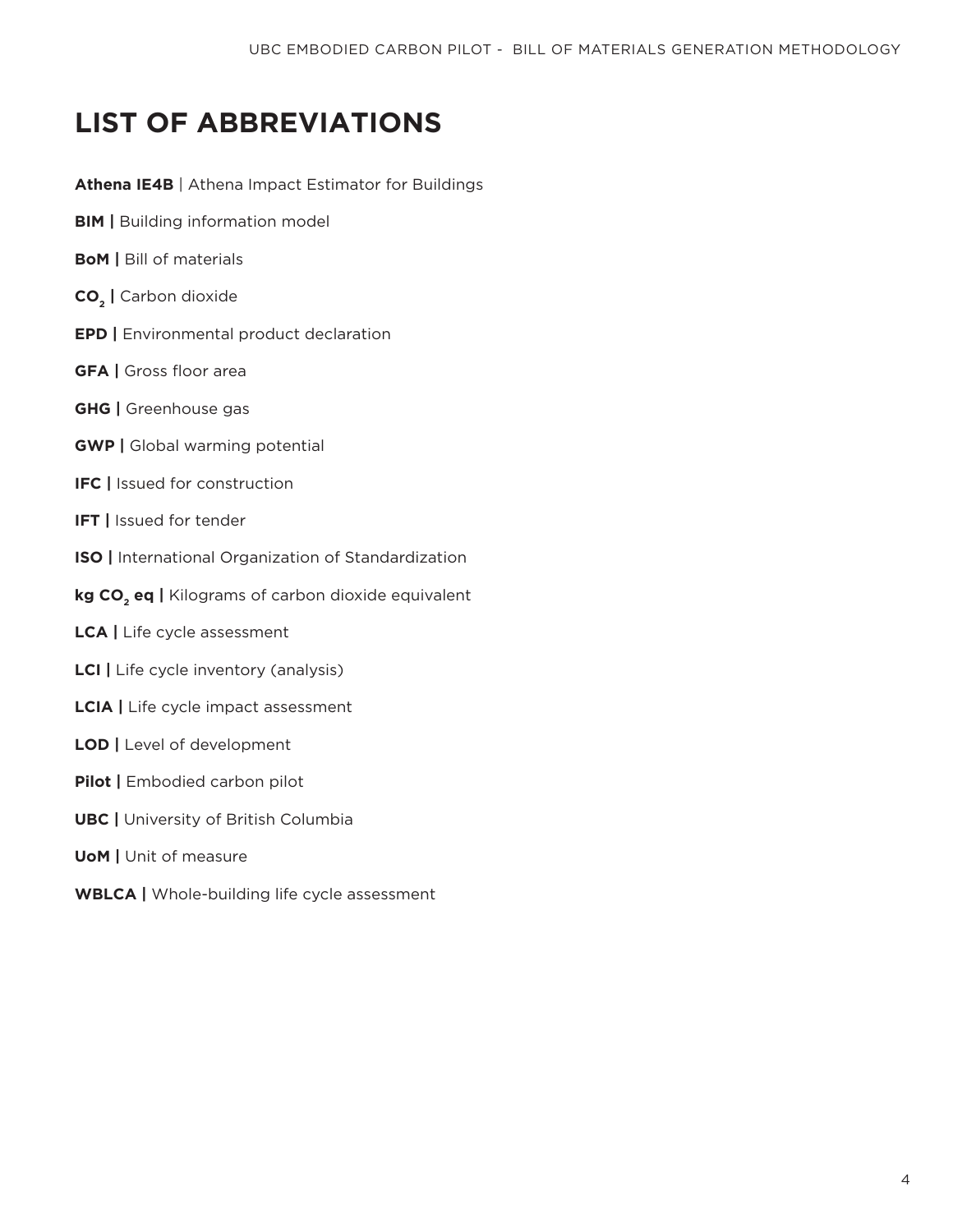## **LIST OF ABBREVIATIONS**

**Athena IE4B** | Athena Impact Estimator for Buildings

- **BIM** | Building information model
- **BoM |** Bill of materials
- **CO2 |** Carbon dioxide
- **EPD** | Environmental product declaration
- **GFA** | Gross floor area
- **GHG |** Greenhouse gas
- **GWP** | Global warming potential
- **IFC |** Issued for construction
- **IFT |** Issued for tender
- **ISO |** International Organization of Standardization
- kg CO<sub>2</sub> eq | Kilograms of carbon dioxide equivalent
- **LCA |** Life cycle assessment
- **LCI |** Life cycle inventory (analysis)
- **LCIA |** Life cycle impact assessment
- **LOD |** Level of development
- **Pilot** | Embodied carbon pilot
- **UBC |** University of British Columbia
- **UoM** | Unit of measure
- **WBLCA |** Whole-building life cycle assessment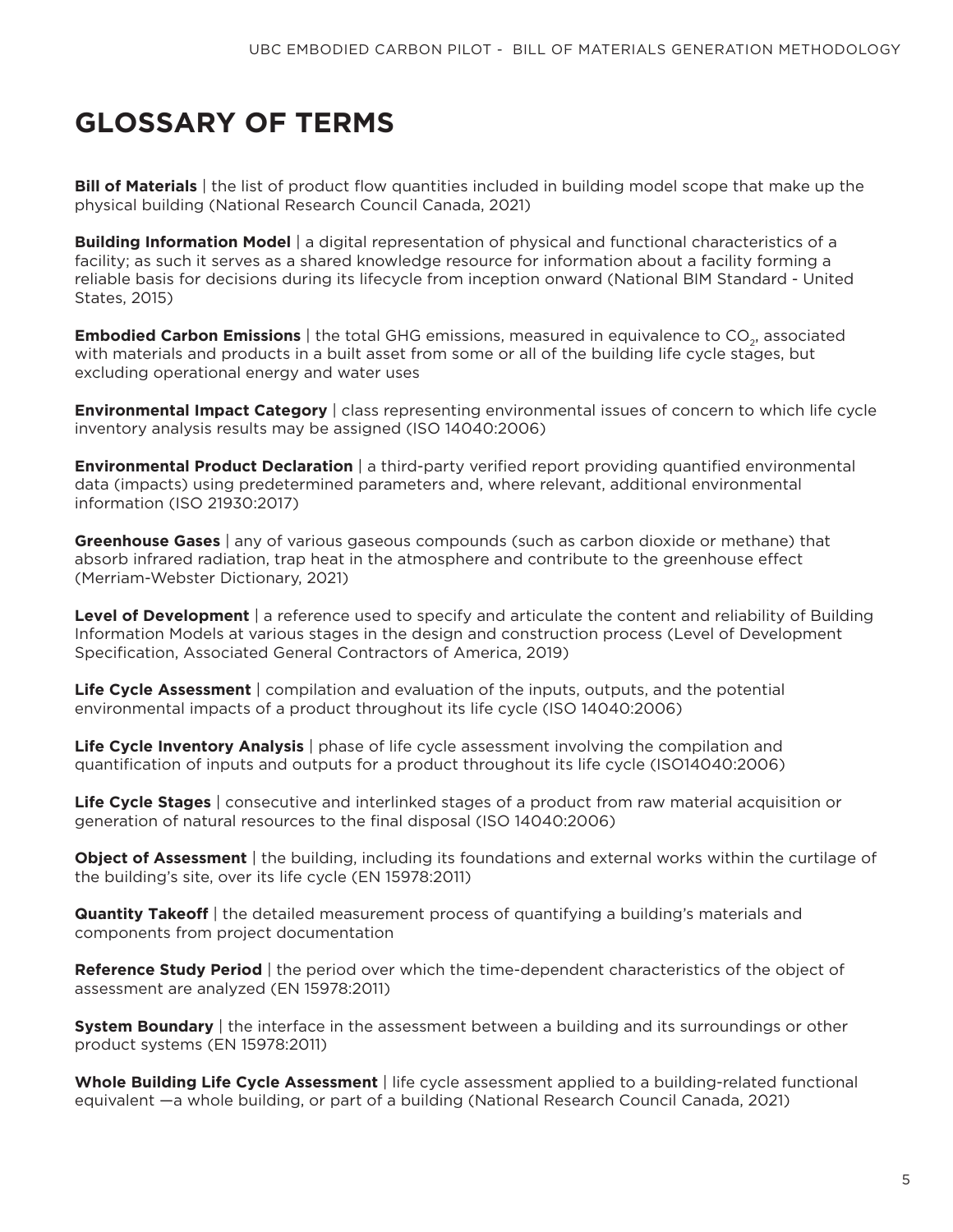## **GLOSSARY OF TERMS**

**Bill of Materials** | the list of product flow quantities included in building model scope that make up the physical building (National Research Council Canada, 2021)

**Building Information Model** | a digital representation of physical and functional characteristics of a facility; as such it serves as a shared knowledge resource for information about a facility forming a reliable basis for decisions during its lifecycle from inception onward (National BIM Standard - United States, 2015)

**Embodied Carbon Emissions** | the total GHG emissions, measured in equivalence to CO<sub>2</sub>, associated with materials and products in a built asset from some or all of the building life cycle stages, but excluding operational energy and water uses

**Environmental Impact Category** | class representing environmental issues of concern to which life cycle inventory analysis results may be assigned (ISO 14040:2006)

**Environmental Product Declaration** | a third-party verified report providing quantified environmental data (impacts) using predetermined parameters and, where relevant, additional environmental information (ISO 21930:2017)

**Greenhouse Gases** | any of various gaseous compounds (such as carbon dioxide or methane) that absorb infrared radiation, trap heat in the atmosphere and contribute to the greenhouse effect (Merriam-Webster Dictionary, 2021)

**Level of Development** | a reference used to specify and articulate the content and reliability of Building Information Models at various stages in the design and construction process (Level of Development Specification, Associated General Contractors of America, 2019)

**Life Cycle Assessment** | compilation and evaluation of the inputs, outputs, and the potential environmental impacts of a product throughout its life cycle (ISO 14040:2006)

**Life Cycle Inventory Analysis** | phase of life cycle assessment involving the compilation and quantification of inputs and outputs for a product throughout its life cycle (ISO14040:2006)

**Life Cycle Stages** | consecutive and interlinked stages of a product from raw material acquisition or generation of natural resources to the final disposal (ISO 14040:2006)

**Object of Assessment** | the building, including its foundations and external works within the curtilage of the building's site, over its life cycle (EN 15978:2011)

**Quantity Takeoff** | the detailed measurement process of quantifying a building's materials and components from project documentation

**Reference Study Period** | the period over which the time-dependent characteristics of the object of assessment are analyzed (EN 15978:2011)

**System Boundary** | the interface in the assessment between a building and its surroundings or other product systems (EN 15978:2011)

**Whole Building Life Cycle Assessment** | life cycle assessment applied to a building-related functional equivalent —a whole building, or part of a building (National Research Council Canada, 2021)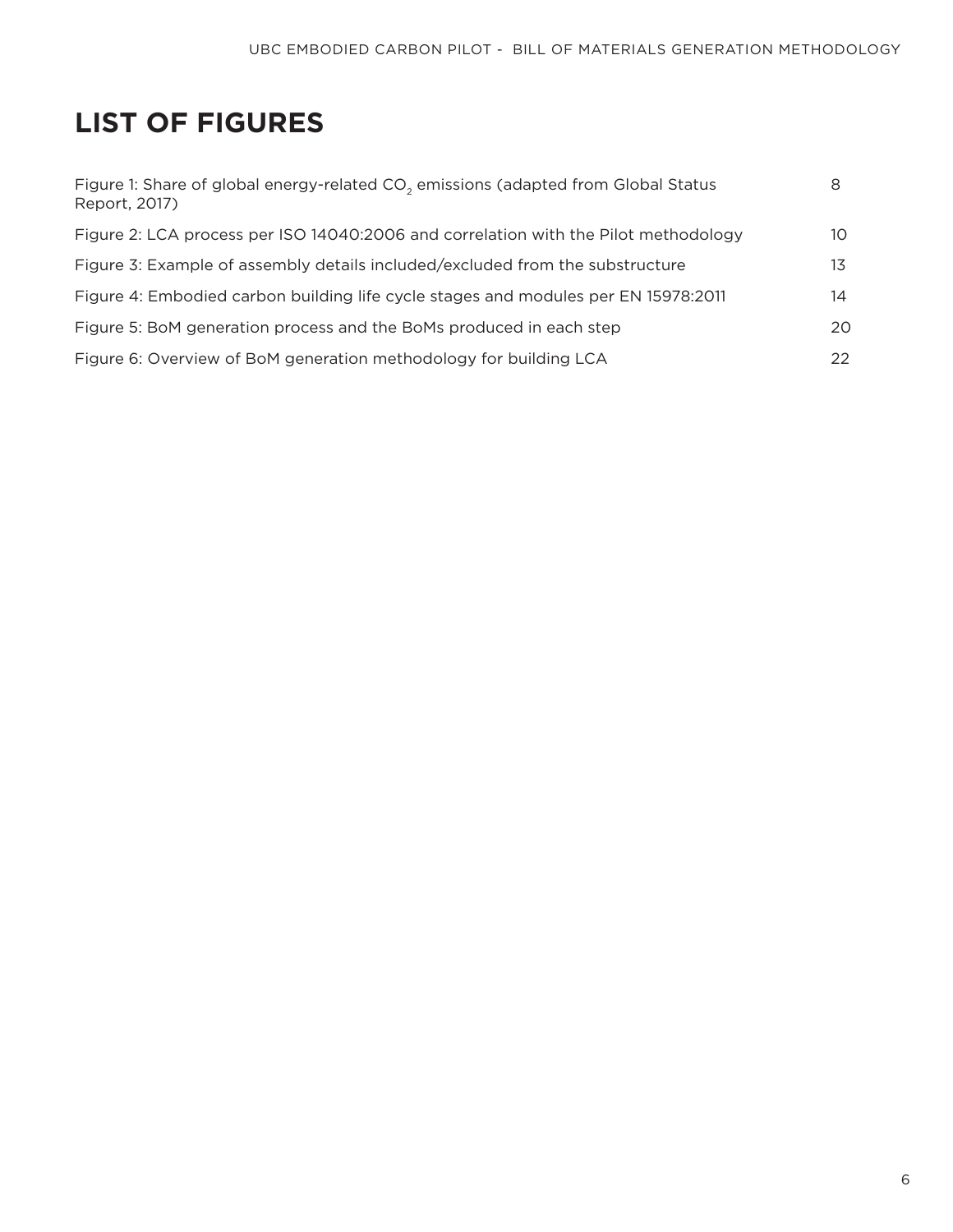## **LIST OF FIGURES**

| Figure 1: Share of global energy-related CO <sub>2</sub> emissions (adapted from Global Status<br>Report, 2017) | 8   |
|-----------------------------------------------------------------------------------------------------------------|-----|
| Figure 2: LCA process per ISO 14040:2006 and correlation with the Pilot methodology                             | 10  |
| Figure 3: Example of assembly details included/excluded from the substructure                                   | 13  |
| Figure 4: Embodied carbon building life cycle stages and modules per EN 15978:2011                              | 14  |
| Figure 5: BoM generation process and the BoMs produced in each step                                             | 20  |
| Figure 6: Overview of BoM generation methodology for building LCA                                               | 22. |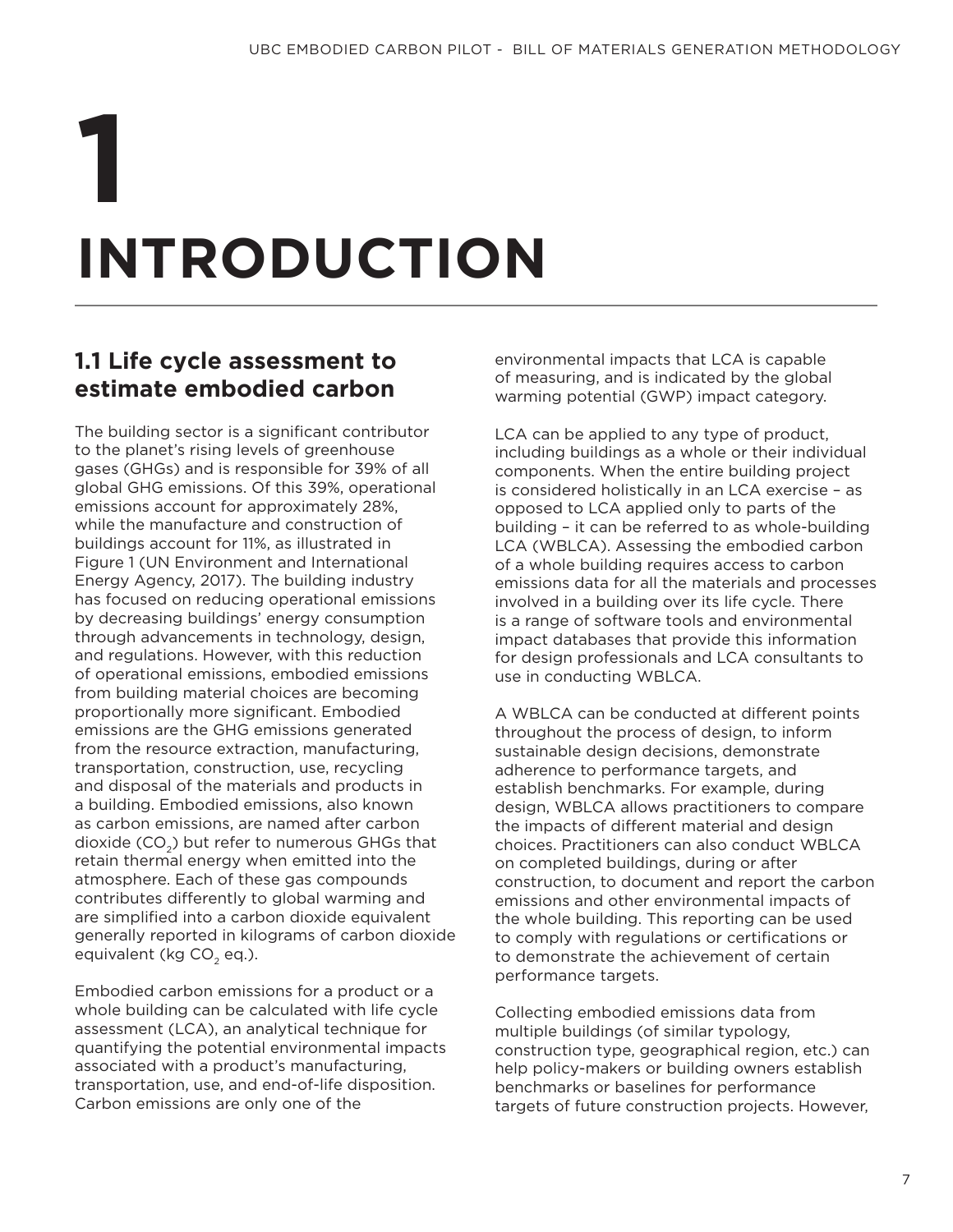# **INTRODUCTION 1**

## **1.1 Life cycle assessment to estimate embodied carbon**

The building sector is a significant contributor to the planet's rising levels of greenhouse gases (GHGs) and is responsible for 39% of all global GHG emissions. Of this 39%, operational emissions account for approximately 28%, while the manufacture and construction of buildings account for 11%, as illustrated in Figure 1 (UN Environment and International Energy Agency, 2017). The building industry has focused on reducing operational emissions by decreasing buildings' energy consumption through advancements in technology, design, and regulations. However, with this reduction of operational emissions, embodied emissions from building material choices are becoming proportionally more significant. Embodied emissions are the GHG emissions generated from the resource extraction, manufacturing, transportation, construction, use, recycling and disposal of the materials and products in a building. Embodied emissions, also known as carbon emissions, are named after carbon dioxide  $(CO<sub>2</sub>)$  but refer to numerous GHGs that retain thermal energy when emitted into the atmosphere. Each of these gas compounds contributes differently to global warming and are simplified into a carbon dioxide equivalent generally reported in kilograms of carbon dioxide equivalent (kg  $CO<sub>2</sub>$  eq.).

Embodied carbon emissions for a product or a whole building can be calculated with life cycle assessment (LCA), an analytical technique for quantifying the potential environmental impacts associated with a product's manufacturing, transportation, use, and end-of-life disposition. Carbon emissions are only one of the

environmental impacts that LCA is capable of measuring, and is indicated by the global warming potential (GWP) impact category.

LCA can be applied to any type of product, including buildings as a whole or their individual components. When the entire building project is considered holistically in an LCA exercise – as opposed to LCA applied only to parts of the building – it can be referred to as whole-building LCA (WBLCA). Assessing the embodied carbon of a whole building requires access to carbon emissions data for all the materials and processes involved in a building over its life cycle. There is a range of software tools and environmental impact databases that provide this information for design professionals and LCA consultants to use in conducting WBLCA.

A WBLCA can be conducted at different points throughout the process of design, to inform sustainable design decisions, demonstrate adherence to performance targets, and establish benchmarks. For example, during design, WBLCA allows practitioners to compare the impacts of different material and design choices. Practitioners can also conduct WBLCA on completed buildings, during or after construction, to document and report the carbon emissions and other environmental impacts of the whole building. This reporting can be used to comply with regulations or certifications or to demonstrate the achievement of certain performance targets.

Collecting embodied emissions data from multiple buildings (of similar typology, construction type, geographical region, etc.) can help policy-makers or building owners establish benchmarks or baselines for performance targets of future construction projects. However,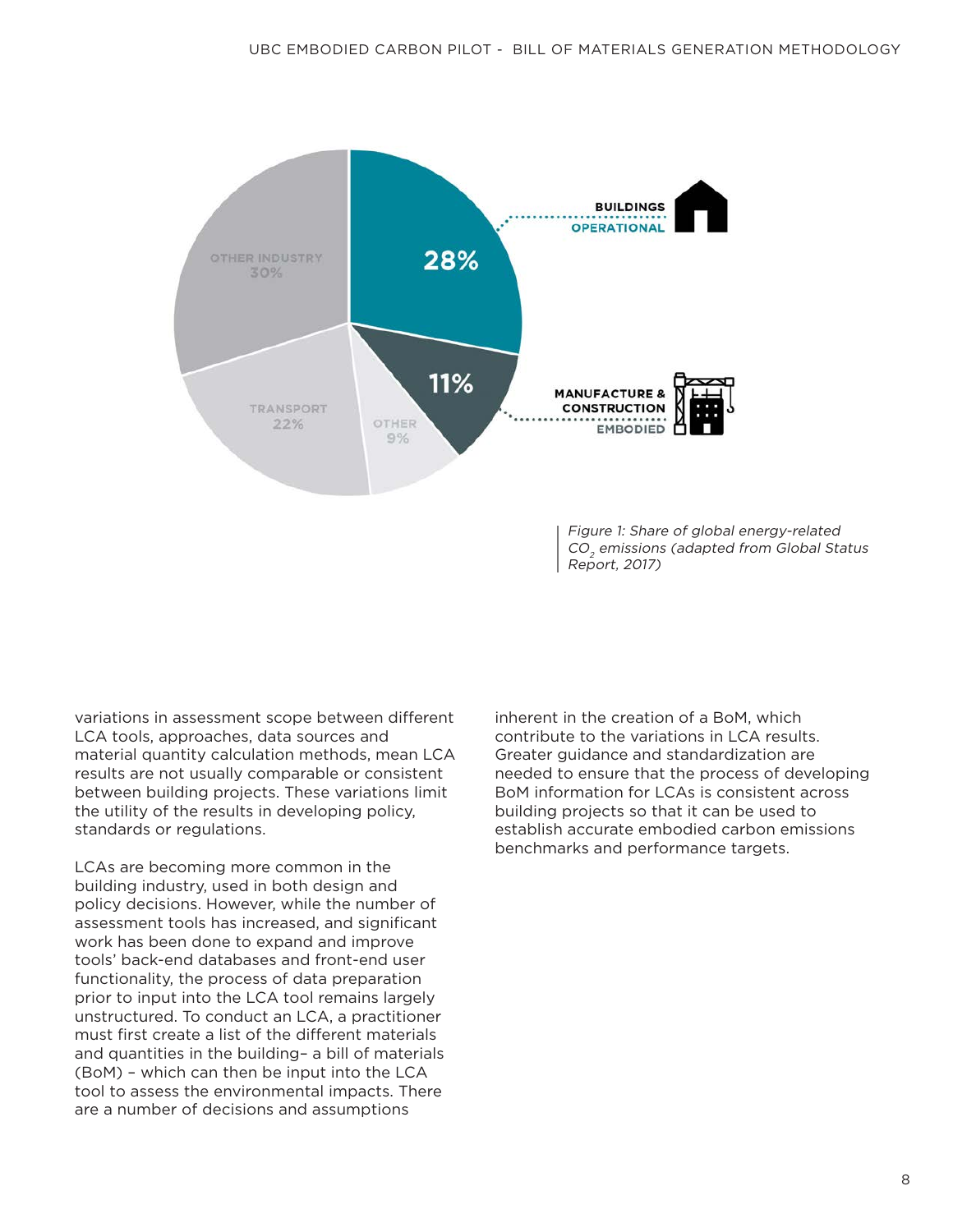

variations in assessment scope between different LCA tools, approaches, data sources and material quantity calculation methods, mean LCA results are not usually comparable or consistent between building projects. These variations limit the utility of the results in developing policy, standards or regulations.

LCAs are becoming more common in the building industry, used in both design and policy decisions. However, while the number of assessment tools has increased, and significant work has been done to expand and improve tools' back-end databases and front-end user functionality, the process of data preparation prior to input into the LCA tool remains largely unstructured. To conduct an LCA, a practitioner must first create a list of the different materials and quantities in the building– a bill of materials (BoM) – which can then be input into the LCA tool to assess the environmental impacts. There are a number of decisions and assumptions

inherent in the creation of a BoM, which contribute to the variations in LCA results. Greater guidance and standardization are needed to ensure that the process of developing BoM information for LCAs is consistent across building projects so that it can be used to establish accurate embodied carbon emissions benchmarks and performance targets.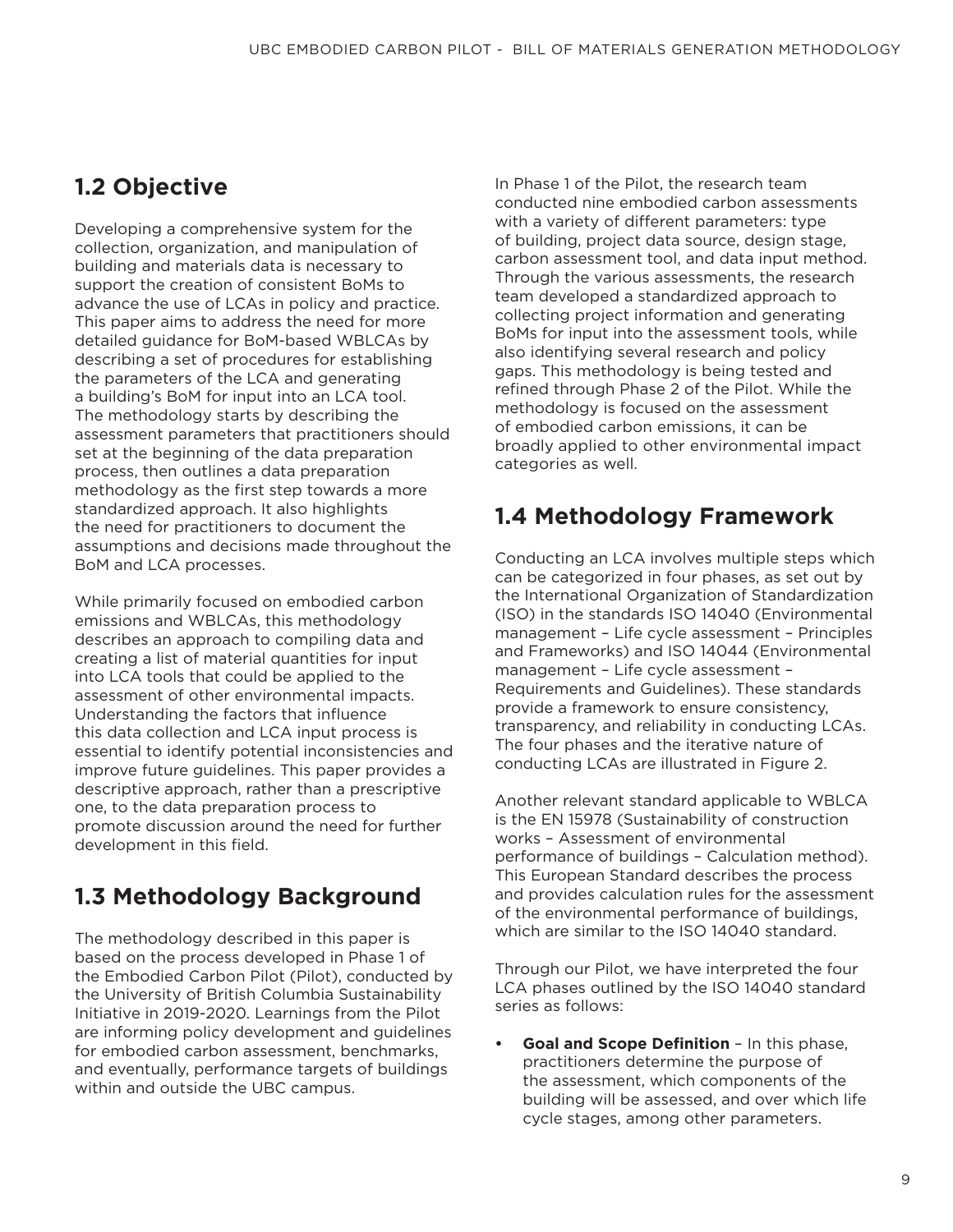## **1.2 Objective**

Developing a comprehensive system for the collection, organization, and manipulation of building and materials data is necessary to support the creation of consistent BoMs to advance the use of LCAs in policy and practice. This paper aims to address the need for more detailed guidance for BoM-based WBLCAs by describing a set of procedures for establishing the parameters of the LCA and generating a building's BoM for input into an LCA tool. The methodology starts by describing the assessment parameters that practitioners should set at the beginning of the data preparation process, then outlines a data preparation methodology as the first step towards a more standardized approach. It also highlights the need for practitioners to document the assumptions and decisions made throughout the BoM and LCA processes.

While primarily focused on embodied carbon emissions and WBLCAs, this methodology describes an approach to compiling data and creating a list of material quantities for input into LCA tools that could be applied to the assessment of other environmental impacts. Understanding the factors that influence this data collection and LCA input process is essential to identify potential inconsistencies and improve future guidelines. This paper provides a descriptive approach, rather than a prescriptive one, to the data preparation process to promote discussion around the need for further development in this field.

## **1.3 Methodology Background**

The methodology described in this paper is based on the process developed in Phase 1 of the Embodied Carbon Pilot (Pilot), conducted by the University of British Columbia Sustainability Initiative in 2019-2020. Learnings from the Pilot are informing policy development and guidelines for embodied carbon assessment, benchmarks, and eventually, performance targets of buildings within and outside the UBC campus.

In Phase 1 of the Pilot, the research team conducted nine embodied carbon assessments with a variety of different parameters: type of building, project data source, design stage, carbon assessment tool, and data input method. Through the various assessments, the research team developed a standardized approach to collecting project information and generating BoMs for input into the assessment tools, while also identifying several research and policy gaps. This methodology is being tested and refined through Phase 2 of the Pilot. While the methodology is focused on the assessment of embodied carbon emissions, it can be broadly applied to other environmental impact categories as well.

## **1.4 Methodology Framework**

Conducting an LCA involves multiple steps which can be categorized in four phases, as set out by the International Organization of Standardization (ISO) in the standards ISO 14040 (Environmental management – Life cycle assessment – Principles and Frameworks) and ISO 14044 (Environmental management – Life cycle assessment – Requirements and Guidelines). These standards provide a framework to ensure consistency, transparency, and reliability in conducting LCAs. The four phases and the iterative nature of conducting LCAs are illustrated in Figure 2.

Another relevant standard applicable to WBLCA is the EN 15978 (Sustainability of construction works – Assessment of environmental performance of buildings – Calculation method). This European Standard describes the process and provides calculation rules for the assessment of the environmental performance of buildings, which are similar to the ISO 14040 standard.

Through our Pilot, we have interpreted the four LCA phases outlined by the ISO 14040 standard series as follows:

**• Goal and Scope Definition** – In this phase, practitioners determine the purpose of the assessment, which components of the building will be assessed, and over which life cycle stages, among other parameters.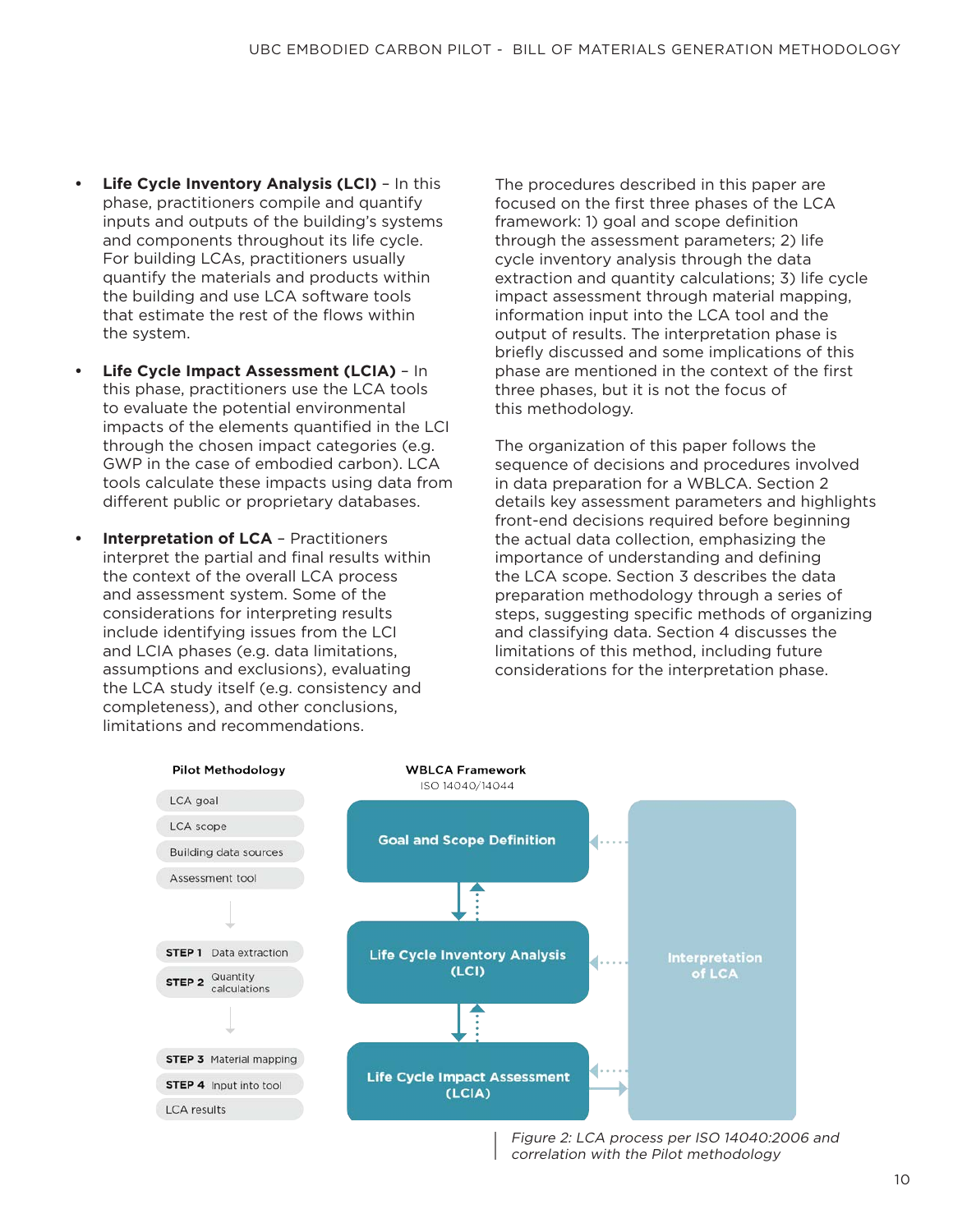- **• Life Cycle Inventory Analysis (LCI)**  In this phase, practitioners compile and quantify inputs and outputs of the building's systems and components throughout its life cycle. For building LCAs, practitioners usually quantify the materials and products within the building and use LCA software tools that estimate the rest of the flows within the system.
- **• Life Cycle Impact Assessment (LCIA)**  In this phase, practitioners use the LCA tools to evaluate the potential environmental impacts of the elements quantified in the LCI through the chosen impact categories (e.g. GWP in the case of embodied carbon). LCA tools calculate these impacts using data from different public or proprietary databases.
- **• Interpretation of LCA** Practitioners interpret the partial and final results within the context of the overall LCA process and assessment system. Some of the considerations for interpreting results include identifying issues from the LCI and LCIA phases (e.g. data limitations, assumptions and exclusions), evaluating the LCA study itself (e.g. consistency and completeness), and other conclusions, limitations and recommendations.

The procedures described in this paper are focused on the first three phases of the LCA framework: 1) goal and scope definition through the assessment parameters; 2) life cycle inventory analysis through the data extraction and quantity calculations; 3) life cycle impact assessment through material mapping, information input into the LCA tool and the output of results. The interpretation phase is briefly discussed and some implications of this phase are mentioned in the context of the first three phases, but it is not the focus of this methodology.

The organization of this paper follows the sequence of decisions and procedures involved in data preparation for a WBLCA. Section 2 details key assessment parameters and highlights front-end decisions required before beginning the actual data collection, emphasizing the importance of understanding and defining the LCA scope. Section 3 describes the data preparation methodology through a series of steps, suggesting specific methods of organizing and classifying data. Section 4 discusses the limitations of this method, including future considerations for the interpretation phase.



Figure 2: LCA process per ISO 14040:2006 and correlation with the Pilot methodology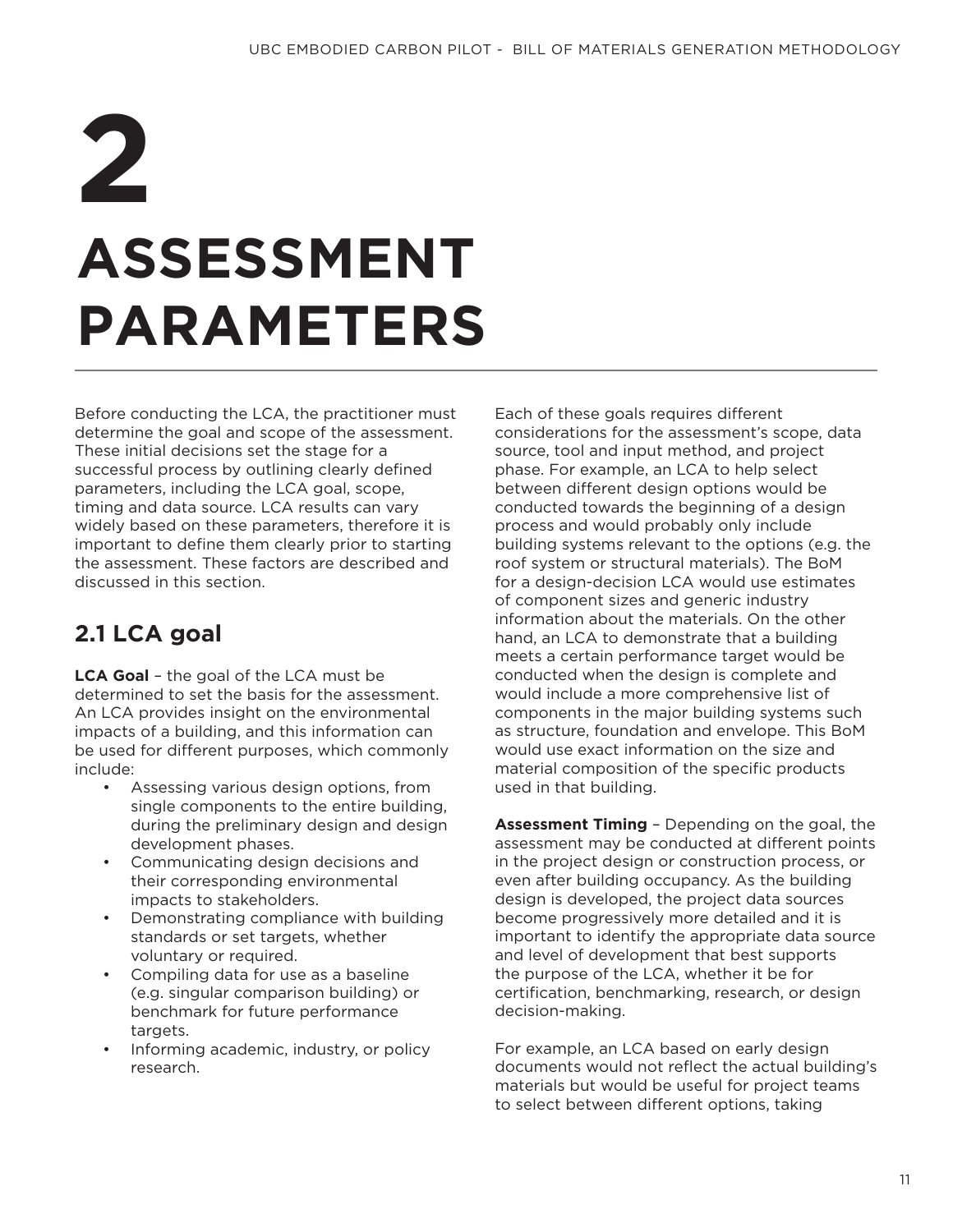## **ASSESSMENT PARAMETERS 2**

Before conducting the LCA, the practitioner must determine the goal and scope of the assessment. These initial decisions set the stage for a successful process by outlining clearly defined parameters, including the LCA goal, scope, timing and data source. LCA results can vary widely based on these parameters, therefore it is important to define them clearly prior to starting the assessment. These factors are described and discussed in this section.

## **2.1 LCA goal**

**LCA Goal** – the goal of the LCA must be determined to set the basis for the assessment. An LCA provides insight on the environmental impacts of a building, and this information can be used for different purposes, which commonly include:

- Assessing various design options, from single components to the entire building, during the preliminary design and design development phases.
- Communicating design decisions and their corresponding environmental impacts to stakeholders.
- Demonstrating compliance with building standards or set targets, whether voluntary or required.
- Compiling data for use as a baseline (e.g. singular comparison building) or benchmark for future performance targets.
- Informing academic, industry, or policy research.

Each of these goals requires different considerations for the assessment's scope, data source, tool and input method, and project phase. For example, an LCA to help select between different design options would be conducted towards the beginning of a design process and would probably only include building systems relevant to the options (e.g. the roof system or structural materials). The BoM for a design-decision LCA would use estimates of component sizes and generic industry information about the materials. On the other hand, an LCA to demonstrate that a building meets a certain performance target would be conducted when the design is complete and would include a more comprehensive list of components in the major building systems such as structure, foundation and envelope. This BoM would use exact information on the size and material composition of the specific products used in that building.

**Assessment Timing** – Depending on the goal, the assessment may be conducted at different points in the project design or construction process, or even after building occupancy. As the building design is developed, the project data sources become progressively more detailed and it is important to identify the appropriate data source and level of development that best supports the purpose of the LCA, whether it be for certification, benchmarking, research, or design decision-making.

For example, an LCA based on early design documents would not reflect the actual building's materials but would be useful for project teams to select between different options, taking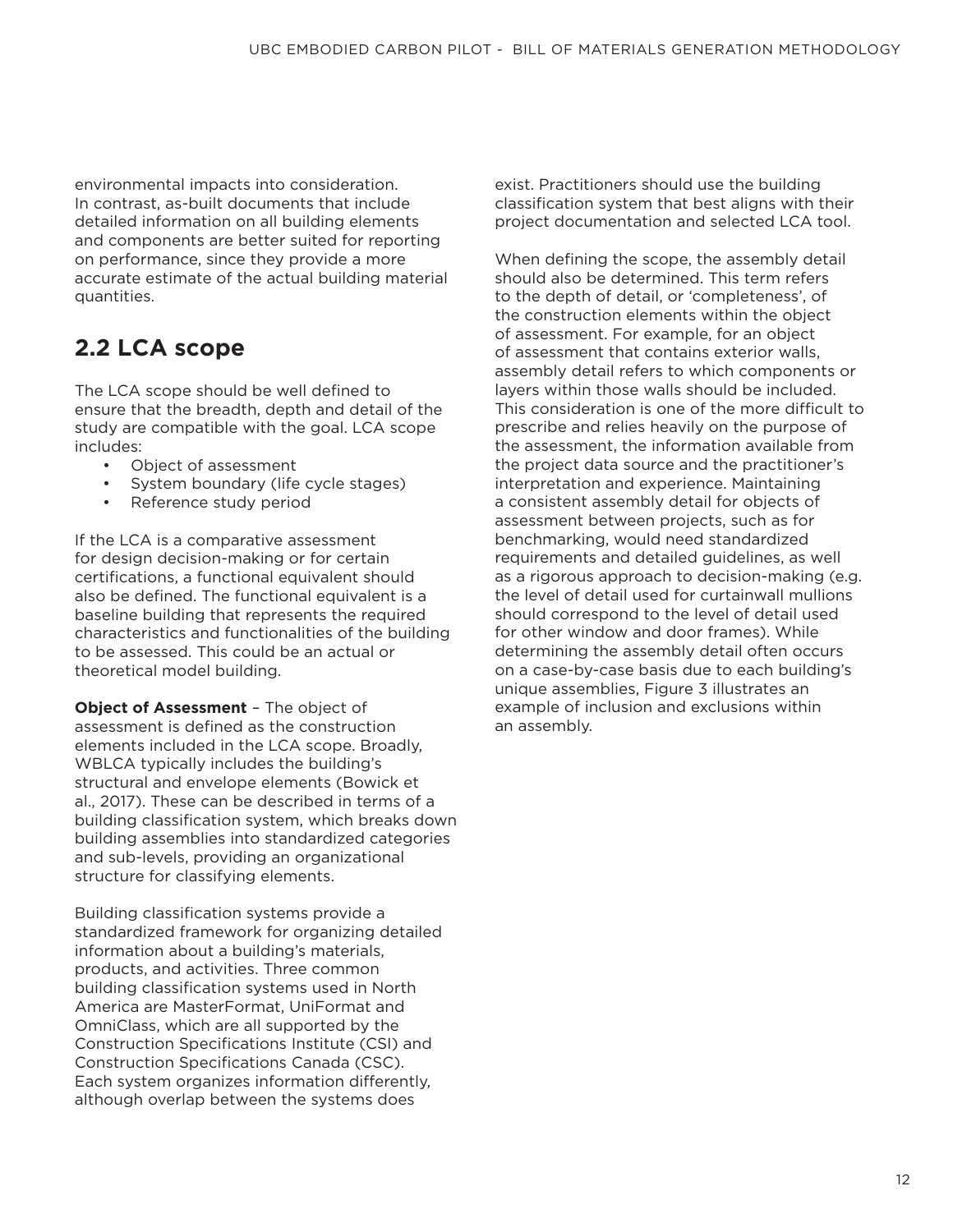environmental impacts into consideration. In contrast, as-built documents that include detailed information on all building elements and components are better suited for reporting on performance, since they provide a more accurate estimate of the actual building material quantities.

## **2.2 LCA scope**

The LCA scope should be well defined to ensure that the breadth, depth and detail of the study are compatible with the goal. LCA scope includes:

- Object of assessment
- System boundary (life cycle stages)
- Reference study period

If the LCA is a comparative assessment for design decision-making or for certain certifications, a functional equivalent should also be defined. The functional equivalent is a baseline building that represents the required characteristics and functionalities of the building to be assessed. This could be an actual or theoretical model building.

**Object of Assessment** – The object of assessment is defined as the construction elements included in the LCA scope. Broadly, WBLCA typically includes the building's structural and envelope elements (Bowick et al., 2017). These can be described in terms of a building classification system, which breaks down building assemblies into standardized categories and sub-levels, providing an organizational structure for classifying elements.

Building classification systems provide a standardized framework for organizing detailed information about a building's materials, products, and activities. Three common building classification systems used in North America are MasterFormat, UniFormat and OmniClass, which are all supported by the Construction Specifications Institute (CSI) and Construction Specifications Canada (CSC). Each system organizes information differently, although overlap between the systems does

exist. Practitioners should use the building classification system that best aligns with their project documentation and selected LCA tool.

When defining the scope, the assembly detail should also be determined. This term refers to the depth of detail, or 'completeness', of the construction elements within the object of assessment. For example, for an object of assessment that contains exterior walls, assembly detail refers to which components or layers within those walls should be included. This consideration is one of the more difficult to prescribe and relies heavily on the purpose of the assessment, the information available from the project data source and the practitioner's interpretation and experience. Maintaining a consistent assembly detail for objects of assessment between projects, such as for benchmarking, would need standardized requirements and detailed guidelines, as well as a rigorous approach to decision-making (e.g. the level of detail used for curtainwall mullions should correspond to the level of detail used for other window and door frames). While determining the assembly detail often occurs on a case-by-case basis due to each building's unique assemblies, Figure 3 illustrates an example of inclusion and exclusions within an assembly.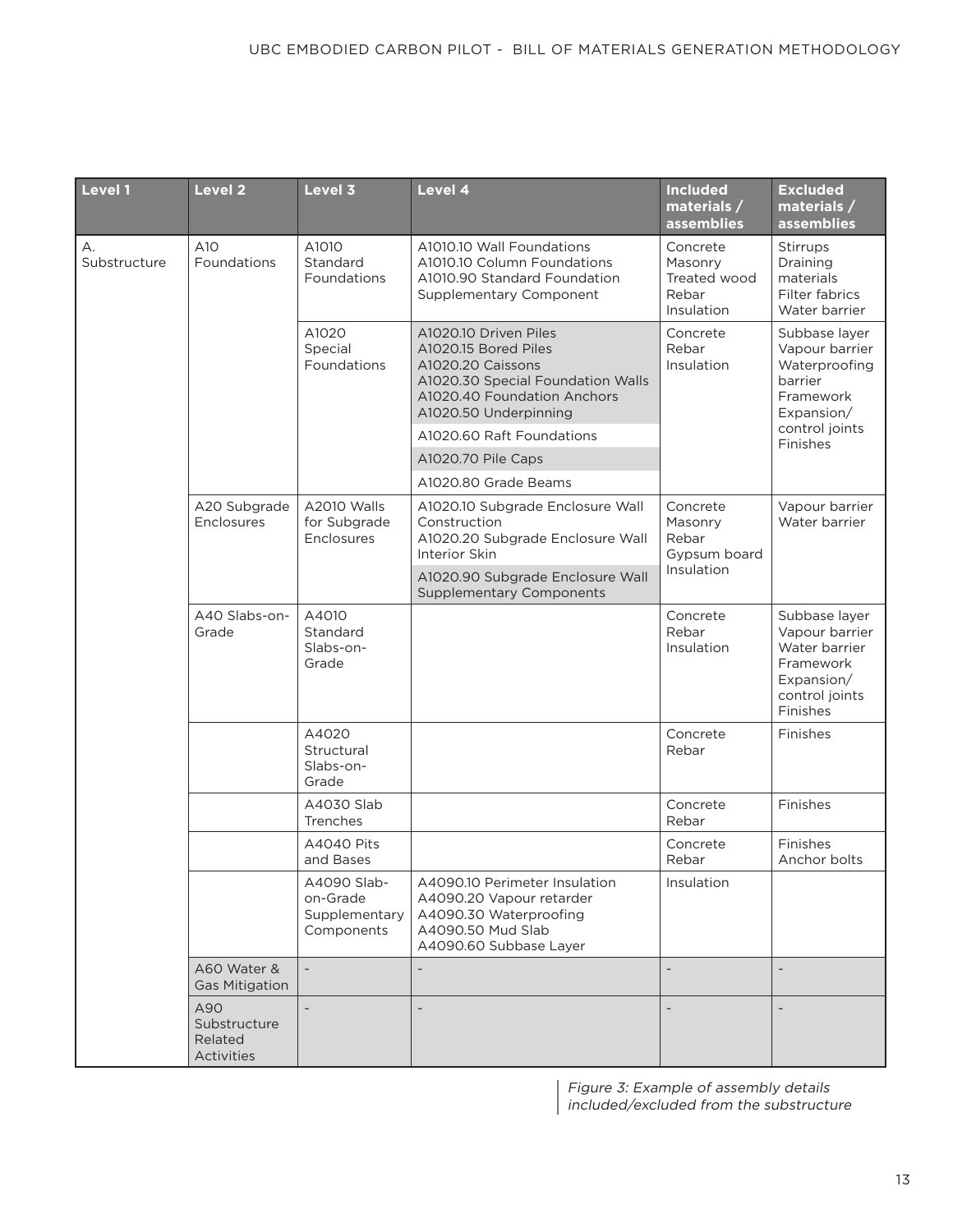| Level 1            | <b>Level 2</b>                               | Level 3                                                | Level 4                                                                                                                                                         | <b>Included</b><br>materials /<br><b>assemblies</b>        | <b>Excluded</b><br>materials /<br>assemblies                                                                         |
|--------------------|----------------------------------------------|--------------------------------------------------------|-----------------------------------------------------------------------------------------------------------------------------------------------------------------|------------------------------------------------------------|----------------------------------------------------------------------------------------------------------------------|
| А.<br>Substructure | A10<br>Foundations                           | A1010<br>Standard<br>Foundations                       | A1010.10 Wall Foundations<br>A1010.10 Column Foundations<br>A1010.90 Standard Foundation<br>Supplementary Component                                             | Concrete<br>Masonry<br>Treated wood<br>Rebar<br>Insulation | Stirrups<br>Draining<br>materials<br>Filter fabrics<br>Water barrier                                                 |
|                    |                                              | A1020<br>Special<br>Foundations                        | A1020.10 Driven Piles<br>A1020.15 Bored Piles<br>A1020.20 Caissons<br>A1020.30 Special Foundation Walls<br>A1020.40 Foundation Anchors<br>A1020.50 Underpinning | Concrete<br>Rebar<br>Insulation                            | Subbase layer<br>Vapour barrier<br>Waterproofing<br>barrier<br>Framework<br>Expansion/<br>control joints<br>Finishes |
|                    |                                              |                                                        | A1020.60 Raft Foundations                                                                                                                                       |                                                            |                                                                                                                      |
|                    |                                              |                                                        | A1020.70 Pile Caps                                                                                                                                              |                                                            |                                                                                                                      |
|                    |                                              |                                                        | A1020.80 Grade Beams                                                                                                                                            |                                                            |                                                                                                                      |
|                    | A20 Subgrade<br>Enclosures                   | A2010 Walls<br>for Subgrade<br>Enclosures              | A1020.10 Subgrade Enclosure Wall<br>Construction<br>A1020.20 Subgrade Enclosure Wall<br>Interior Skin                                                           | Concrete<br>Masonry<br>Rebar<br>Gypsum board               | Vapour barrier<br>Water barrier                                                                                      |
|                    |                                              |                                                        | A1020.90 Subgrade Enclosure Wall<br><b>Supplementary Components</b>                                                                                             | Insulation                                                 |                                                                                                                      |
|                    | A40 Slabs-on-<br>Grade                       | A4010<br>Standard<br>Slabs-on-<br>Grade                |                                                                                                                                                                 | Concrete<br>Rebar<br>Insulation                            | Subbase layer<br>Vapour barrier<br>Water barrier<br>Framework<br>Expansion/<br>control joints<br>Finishes            |
|                    |                                              | A4020<br>Structural<br>Slabs-on-<br>Grade              |                                                                                                                                                                 | Concrete<br>Rebar                                          | Finishes                                                                                                             |
|                    |                                              | A4030 Slab<br>Trenches                                 |                                                                                                                                                                 | Concrete<br>Rebar                                          | Finishes                                                                                                             |
|                    |                                              | <b>A4040 Pits</b><br>and Bases                         |                                                                                                                                                                 | Concrete<br>Rebar                                          | Finishes<br>Anchor bolts                                                                                             |
|                    |                                              | A4090 Slab-<br>on-Grade<br>Supplementary<br>Components | A4090.10 Perimeter Insulation<br>A4090.20 Vapour retarder<br>A4090.30 Waterproofing<br>A4090.50 Mud Slab<br>A4090.60 Subbase Layer                              | Insulation                                                 |                                                                                                                      |
|                    | A60 Water &<br><b>Gas Mitigation</b>         |                                                        |                                                                                                                                                                 |                                                            |                                                                                                                      |
|                    | A90<br>Substructure<br>Related<br>Activities |                                                        | $\overline{\phantom{a}}$                                                                                                                                        |                                                            |                                                                                                                      |

Figure 3: Example of assembly details included/excluded from the substructure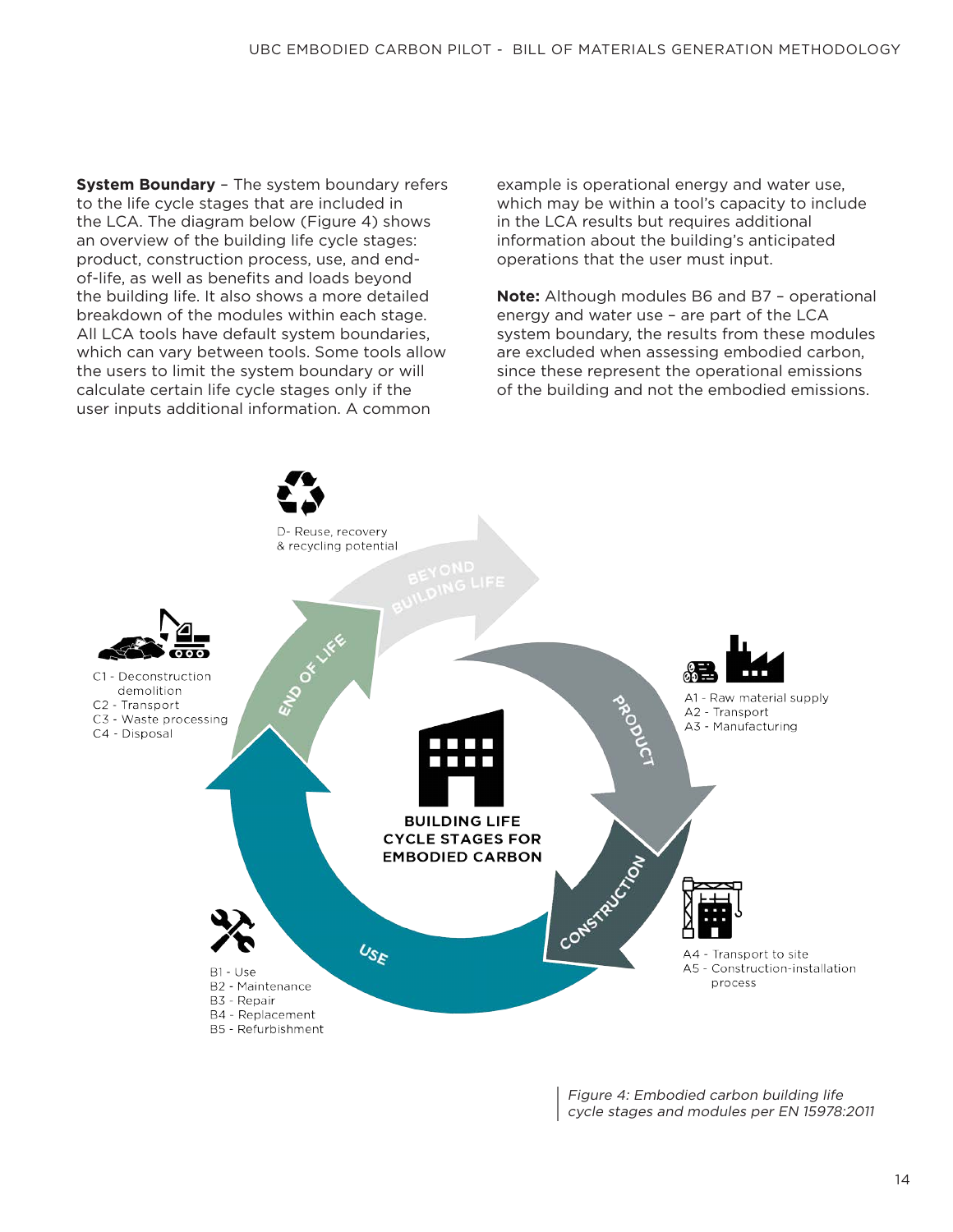**System Boundary** – The system boundary refers to the life cycle stages that are included in the LCA. The diagram below (Figure 4) shows an overview of the building life cycle stages: product, construction process, use, and endof-life, as well as benefits and loads beyond the building life. It also shows a more detailed breakdown of the modules within each stage. All LCA tools have default system boundaries, which can vary between tools. Some tools allow the users to limit the system boundary or will calculate certain life cycle stages only if the user inputs additional information. A common

example is operational energy and water use, which may be within a tool's capacity to include in the LCA results but requires additional information about the building's anticipated operations that the user must input.

**Note:** Although modules B6 and B7 – operational energy and water use – are part of the LCA system boundary, the results from these modules are excluded when assessing embodied carbon, since these represent the operational emissions of the building and not the embodied emissions.



Figure 4: Embodied carbon building life cycle stages and modules per EN 15978:2011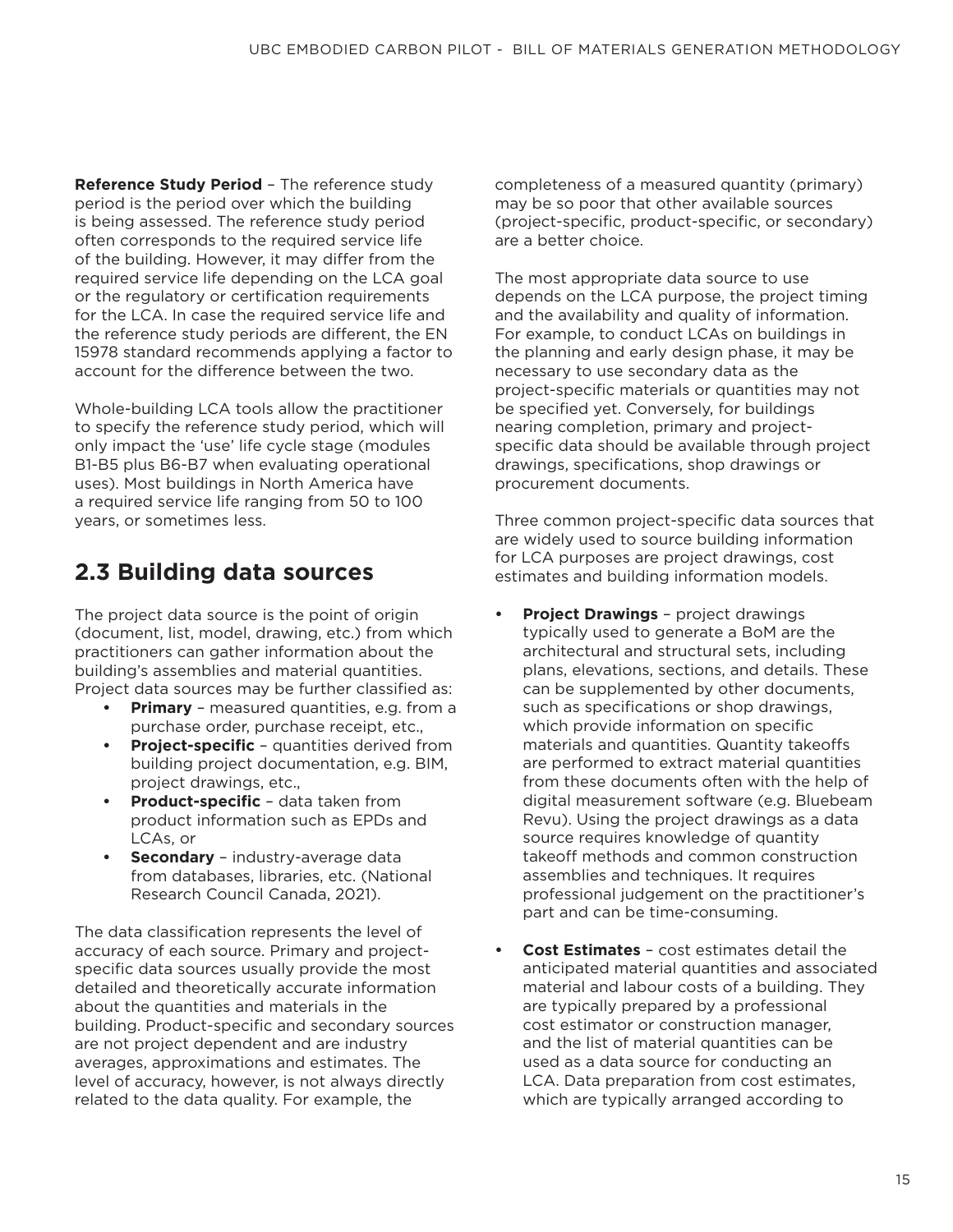**Reference Study Period** – The reference study period is the period over which the building is being assessed. The reference study period often corresponds to the required service life of the building. However, it may differ from the required service life depending on the LCA goal or the regulatory or certification requirements for the LCA. In case the required service life and the reference study periods are different, the EN 15978 standard recommends applying a factor to account for the difference between the two.

Whole-building LCA tools allow the practitioner to specify the reference study period, which will only impact the 'use' life cycle stage (modules B1-B5 plus B6-B7 when evaluating operational uses). Most buildings in North America have a required service life ranging from 50 to 100 years, or sometimes less.

## **2.3 Building data sources**

The project data source is the point of origin (document, list, model, drawing, etc.) from which practitioners can gather information about the building's assemblies and material quantities. Project data sources may be further classified as:

- **• Primary** measured quantities, e.g. from a purchase order, purchase receipt, etc.,
- **Project-specific** quantities derived from building project documentation, e.g. BIM, project drawings, etc.,
- **• Product-specific** data taken from product information such as EPDs and LCAs, or
- **• Secondary**  industry-average data from databases, libraries, etc. (National Research Council Canada, 2021).

The data classification represents the level of accuracy of each source. Primary and projectspecific data sources usually provide the most detailed and theoretically accurate information about the quantities and materials in the building. Product-specific and secondary sources are not project dependent and are industry averages, approximations and estimates. The level of accuracy, however, is not always directly related to the data quality. For example, the

completeness of a measured quantity (primary) may be so poor that other available sources (project-specific, product-specific, or secondary) are a better choice.

The most appropriate data source to use depends on the LCA purpose, the project timing and the availability and quality of information. For example, to conduct LCAs on buildings in the planning and early design phase, it may be necessary to use secondary data as the project-specific materials or quantities may not be specified yet. Conversely, for buildings nearing completion, primary and projectspecific data should be available through project drawings, specifications, shop drawings or procurement documents.

Three common project-specific data sources that are widely used to source building information for LCA purposes are project drawings, cost estimates and building information models.

- **• Project Drawings** project drawings typically used to generate a BoM are the architectural and structural sets, including plans, elevations, sections, and details. These can be supplemented by other documents, such as specifications or shop drawings, which provide information on specific materials and quantities. Quantity takeoffs are performed to extract material quantities from these documents often with the help of digital measurement software (e.g. Bluebeam Revu). Using the project drawings as a data source requires knowledge of quantity takeoff methods and common construction assemblies and techniques. It requires professional judgement on the practitioner's part and can be time-consuming.
- **• Cost Estimates**  cost estimates detail the anticipated material quantities and associated material and labour costs of a building. They are typically prepared by a professional cost estimator or construction manager, and the list of material quantities can be used as a data source for conducting an LCA. Data preparation from cost estimates, which are typically arranged according to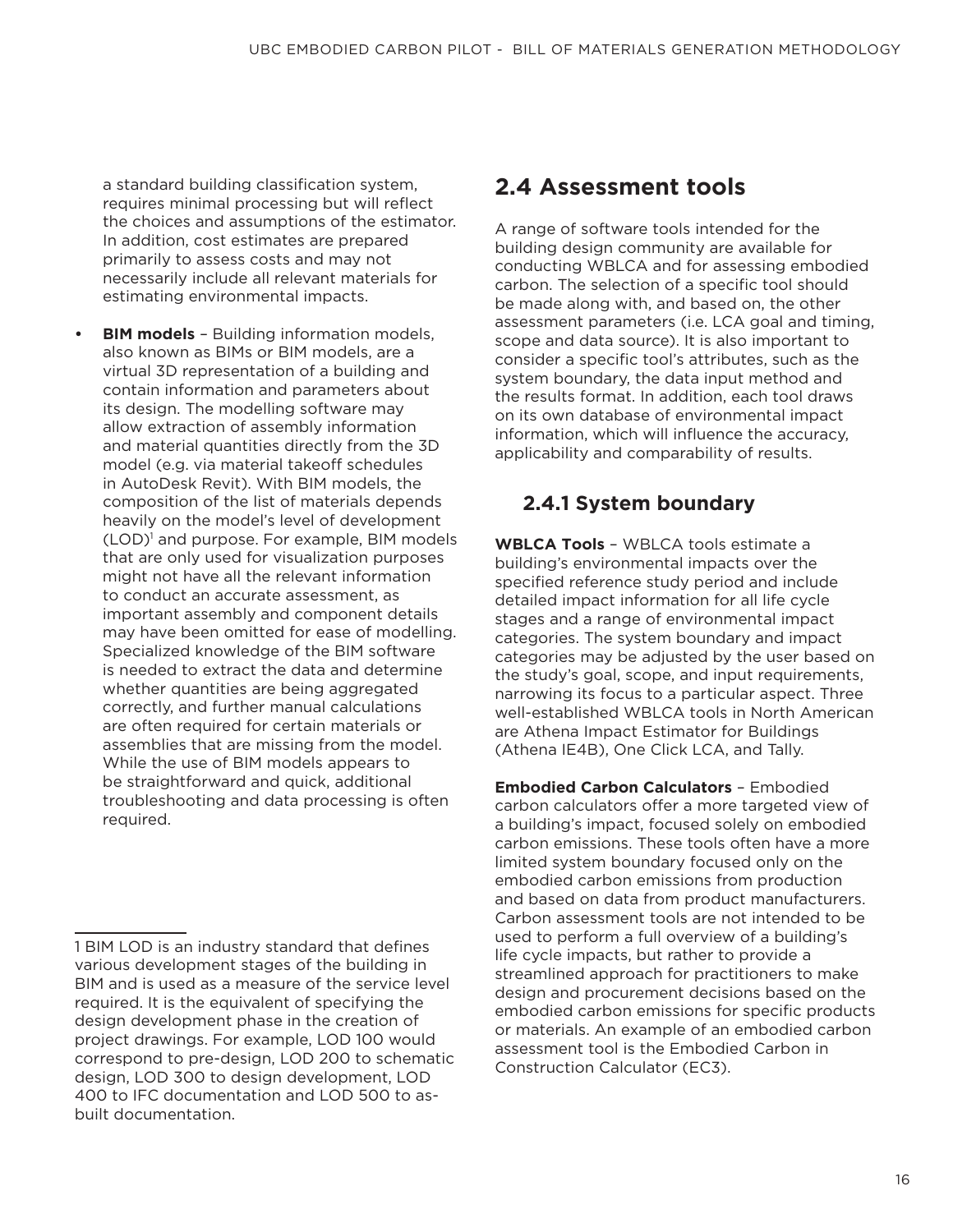a standard building classification system, requires minimal processing but will reflect the choices and assumptions of the estimator. In addition, cost estimates are prepared primarily to assess costs and may not necessarily include all relevant materials for estimating environmental impacts.

**• BIM models** – Building information models, also known as BIMs or BIM models, are a virtual 3D representation of a building and contain information and parameters about its design. The modelling software may allow extraction of assembly information and material quantities directly from the 3D model (e.g. via material takeoff schedules in AutoDesk Revit). With BIM models, the composition of the list of materials depends heavily on the model's level of development (LOD)<sup>1</sup> and purpose. For example, BIM models that are only used for visualization purposes might not have all the relevant information to conduct an accurate assessment, as important assembly and component details may have been omitted for ease of modelling. Specialized knowledge of the BIM software is needed to extract the data and determine whether quantities are being aggregated correctly, and further manual calculations are often required for certain materials or assemblies that are missing from the model. While the use of BIM models appears to be straightforward and quick, additional troubleshooting and data processing is often required.

## **2.4 Assessment tools**

A range of software tools intended for the building design community are available for conducting WBLCA and for assessing embodied carbon. The selection of a specific tool should be made along with, and based on, the other assessment parameters (i.e. LCA goal and timing, scope and data source). It is also important to consider a specific tool's attributes, such as the system boundary, the data input method and the results format. In addition, each tool draws on its own database of environmental impact information, which will influence the accuracy, applicability and comparability of results.

#### **2.4.1 System boundary**

**WBLCA Tools** – WBLCA tools estimate a building's environmental impacts over the specified reference study period and include detailed impact information for all life cycle stages and a range of environmental impact categories. The system boundary and impact categories may be adjusted by the user based on the study's goal, scope, and input requirements, narrowing its focus to a particular aspect. Three well-established WBLCA tools in North American are Athena Impact Estimator for Buildings (Athena IE4B), One Click LCA, and Tally.

**Embodied Carbon Calculators** – Embodied carbon calculators offer a more targeted view of a building's impact, focused solely on embodied carbon emissions. These tools often have a more limited system boundary focused only on the embodied carbon emissions from production and based on data from product manufacturers. Carbon assessment tools are not intended to be used to perform a full overview of a building's life cycle impacts, but rather to provide a streamlined approach for practitioners to make design and procurement decisions based on the embodied carbon emissions for specific products or materials. An example of an embodied carbon assessment tool is the Embodied Carbon in Construction Calculator (EC3).

<sup>1</sup> BIM LOD is an industry standard that defines various development stages of the building in BIM and is used as a measure of the service level required. It is the equivalent of specifying the design development phase in the creation of project drawings. For example, LOD 100 would correspond to pre-design, LOD 200 to schematic design, LOD 300 to design development, LOD 400 to IFC documentation and LOD 500 to asbuilt documentation.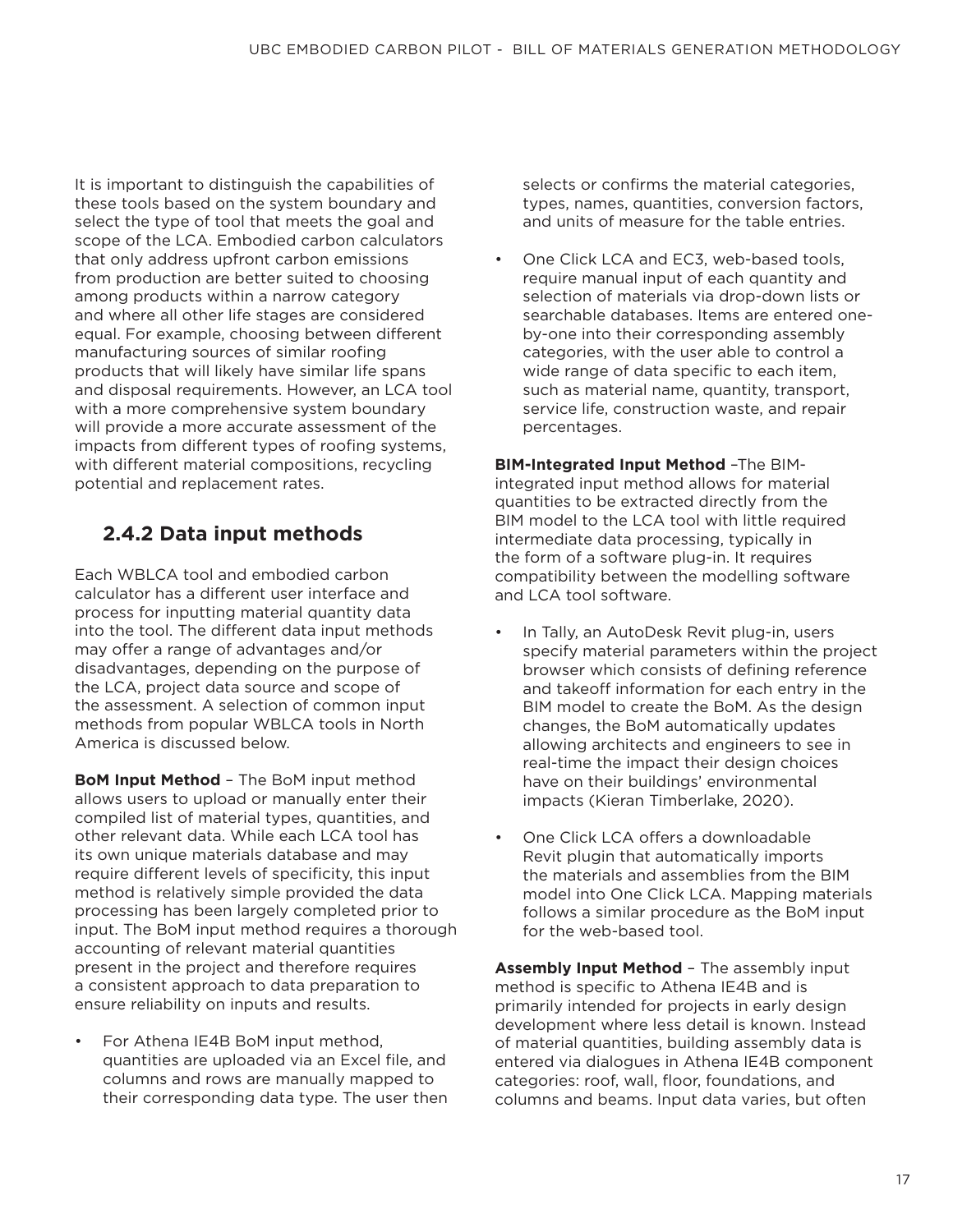It is important to distinguish the capabilities of these tools based on the system boundary and select the type of tool that meets the goal and scope of the LCA. Embodied carbon calculators that only address upfront carbon emissions from production are better suited to choosing among products within a narrow category and where all other life stages are considered equal. For example, choosing between different manufacturing sources of similar roofing products that will likely have similar life spans and disposal requirements. However, an LCA tool with a more comprehensive system boundary will provide a more accurate assessment of the impacts from different types of roofing systems, with different material compositions, recycling potential and replacement rates.

#### **2.4.2 Data input methods**

Each WBLCA tool and embodied carbon calculator has a different user interface and process for inputting material quantity data into the tool. The different data input methods may offer a range of advantages and/or disadvantages, depending on the purpose of the LCA, project data source and scope of the assessment. A selection of common input methods from popular WBLCA tools in North America is discussed below.

**BoM Input Method** – The BoM input method allows users to upload or manually enter their compiled list of material types, quantities, and other relevant data. While each LCA tool has its own unique materials database and may require different levels of specificity, this input method is relatively simple provided the data processing has been largely completed prior to input. The BoM input method requires a thorough accounting of relevant material quantities present in the project and therefore requires a consistent approach to data preparation to ensure reliability on inputs and results.

• For Athena IE4B BoM input method, quantities are uploaded via an Excel file, and columns and rows are manually mapped to their corresponding data type. The user then selects or confirms the material categories, types, names, quantities, conversion factors, and units of measure for the table entries.

• One Click LCA and EC3, web-based tools, require manual input of each quantity and selection of materials via drop-down lists or searchable databases. Items are entered oneby-one into their corresponding assembly categories, with the user able to control a wide range of data specific to each item, such as material name, quantity, transport, service life, construction waste, and repair percentages.

**BIM-Integrated Input Method** –The BIMintegrated input method allows for material quantities to be extracted directly from the BIM model to the LCA tool with little required intermediate data processing, typically in the form of a software plug-in. It requires compatibility between the modelling software and LCA tool software.

- In Tally, an AutoDesk Revit plug-in, users specify material parameters within the project browser which consists of defining reference and takeoff information for each entry in the BIM model to create the BoM. As the design changes, the BoM automatically updates allowing architects and engineers to see in real-time the impact their design choices have on their buildings' environmental impacts (Kieran Timberlake, 2020).
- One Click LCA offers a downloadable Revit plugin that automatically imports the materials and assemblies from the BIM model into One Click LCA. Mapping materials follows a similar procedure as the BoM input for the web-based tool.

**Assembly Input Method** – The assembly input method is specific to Athena IE4B and is primarily intended for projects in early design development where less detail is known. Instead of material quantities, building assembly data is entered via dialogues in Athena IE4B component categories: roof, wall, floor, foundations, and columns and beams. Input data varies, but often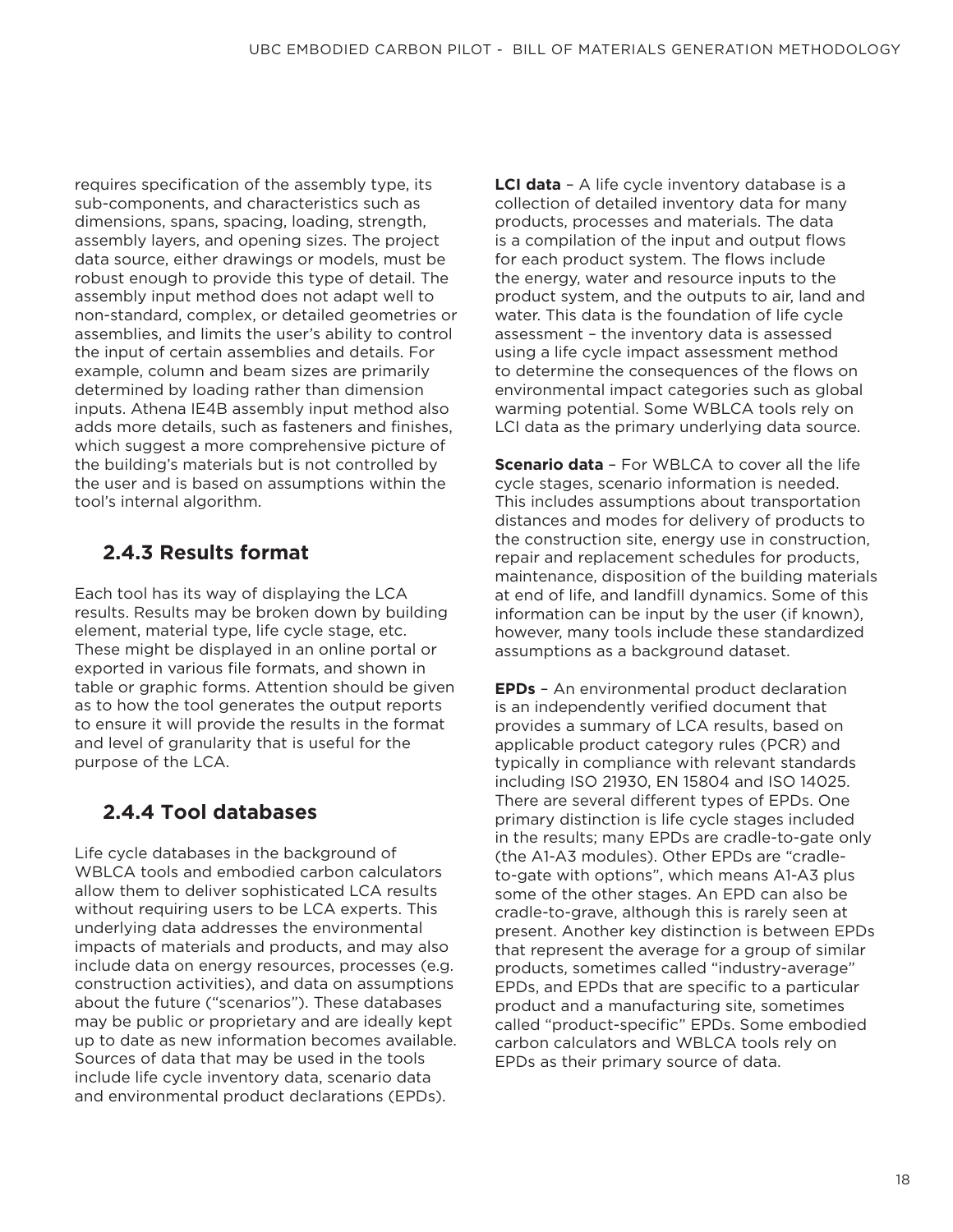requires specification of the assembly type, its sub-components, and characteristics such as dimensions, spans, spacing, loading, strength, assembly layers, and opening sizes. The project data source, either drawings or models, must be robust enough to provide this type of detail. The assembly input method does not adapt well to non-standard, complex, or detailed geometries or assemblies, and limits the user's ability to control the input of certain assemblies and details. For example, column and beam sizes are primarily determined by loading rather than dimension inputs. Athena IE4B assembly input method also adds more details, such as fasteners and finishes, which suggest a more comprehensive picture of the building's materials but is not controlled by the user and is based on assumptions within the tool's internal algorithm.

#### **2.4.3 Results format**

Each tool has its way of displaying the LCA results. Results may be broken down by building element, material type, life cycle stage, etc. These might be displayed in an online portal or exported in various file formats, and shown in table or graphic forms. Attention should be given as to how the tool generates the output reports to ensure it will provide the results in the format and level of granularity that is useful for the purpose of the LCA.

#### **2.4.4 Tool databases**

Life cycle databases in the background of WBLCA tools and embodied carbon calculators allow them to deliver sophisticated LCA results without requiring users to be LCA experts. This underlying data addresses the environmental impacts of materials and products, and may also include data on energy resources, processes (e.g. construction activities), and data on assumptions about the future ("scenarios"). These databases may be public or proprietary and are ideally kept up to date as new information becomes available. Sources of data that may be used in the tools include life cycle inventory data, scenario data and environmental product declarations (EPDs).

**LCI data** – A life cycle inventory database is a collection of detailed inventory data for many products, processes and materials. The data is a compilation of the input and output flows for each product system. The flows include the energy, water and resource inputs to the product system, and the outputs to air, land and water. This data is the foundation of life cycle assessment – the inventory data is assessed using a life cycle impact assessment method to determine the consequences of the flows on environmental impact categories such as global warming potential. Some WBLCA tools rely on LCI data as the primary underlying data source.

**Scenario data** – For WBLCA to cover all the life cycle stages, scenario information is needed. This includes assumptions about transportation distances and modes for delivery of products to the construction site, energy use in construction, repair and replacement schedules for products, maintenance, disposition of the building materials at end of life, and landfill dynamics. Some of this information can be input by the user (if known), however, many tools include these standardized assumptions as a background dataset.

**EPDs** – An environmental product declaration is an independently verified document that provides a summary of LCA results, based on applicable product category rules (PCR) and typically in compliance with relevant standards including ISO 21930, EN 15804 and ISO 14025. There are several different types of EPDs. One primary distinction is life cycle stages included in the results; many EPDs are cradle-to-gate only (the A1-A3 modules). Other EPDs are "cradleto-gate with options", which means A1-A3 plus some of the other stages. An EPD can also be cradle-to-grave, although this is rarely seen at present. Another key distinction is between EPDs that represent the average for a group of similar products, sometimes called "industry-average" EPDs, and EPDs that are specific to a particular product and a manufacturing site, sometimes called "product-specific" EPDs. Some embodied carbon calculators and WBLCA tools rely on EPDs as their primary source of data.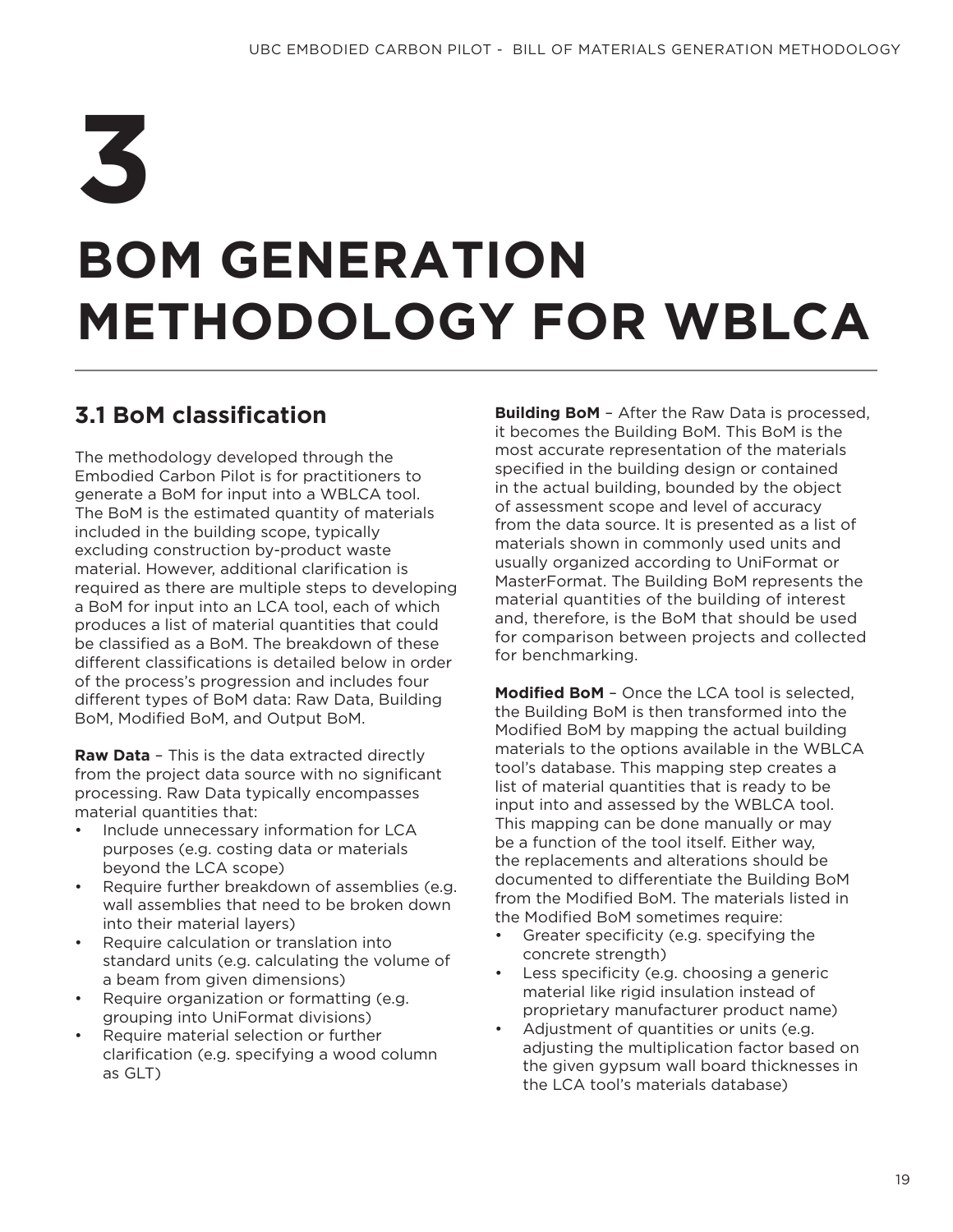## **BOM GENERATION METHODOLOGY FOR WBLCA 3**

## **3.1 BoM classification**

The methodology developed through the Embodied Carbon Pilot is for practitioners to generate a BoM for input into a WBLCA tool. The BoM is the estimated quantity of materials included in the building scope, typically excluding construction by-product waste material. However, additional clarification is required as there are multiple steps to developing a BoM for input into an LCA tool, each of which produces a list of material quantities that could be classified as a BoM. The breakdown of these different classifications is detailed below in order of the process's progression and includes four different types of BoM data: Raw Data, Building BoM, Modified BoM, and Output BoM.

**Raw Data** – This is the data extracted directly from the project data source with no significant processing. Raw Data typically encompasses material quantities that:

- Include unnecessary information for LCA purposes (e.g. costing data or materials beyond the LCA scope)
- Require further breakdown of assemblies (e.g. wall assemblies that need to be broken down into their material layers)
- Require calculation or translation into standard units (e.g. calculating the volume of a beam from given dimensions)
- Require organization or formatting (e.g. grouping into UniFormat divisions)
- Require material selection or further clarification (e.g. specifying a wood column as GLT)

**Building BoM** – After the Raw Data is processed, it becomes the Building BoM. This BoM is the most accurate representation of the materials specified in the building design or contained in the actual building, bounded by the object of assessment scope and level of accuracy from the data source. It is presented as a list of materials shown in commonly used units and usually organized according to UniFormat or MasterFormat. The Building BoM represents the material quantities of the building of interest and, therefore, is the BoM that should be used for comparison between projects and collected for benchmarking.

**Modified BoM** – Once the LCA tool is selected, the Building BoM is then transformed into the Modified BoM by mapping the actual building materials to the options available in the WBLCA tool's database. This mapping step creates a list of material quantities that is ready to be input into and assessed by the WBLCA tool. This mapping can be done manually or may be a function of the tool itself. Either way, the replacements and alterations should be documented to differentiate the Building BoM from the Modified BoM. The materials listed in the Modified BoM sometimes require:

- Greater specificity (e.g. specifying the concrete strength)
- Less specificity (e.g. choosing a generic material like rigid insulation instead of proprietary manufacturer product name)
- Adjustment of quantities or units (e.g. adjusting the multiplication factor based on the given gypsum wall board thicknesses in the LCA tool's materials database)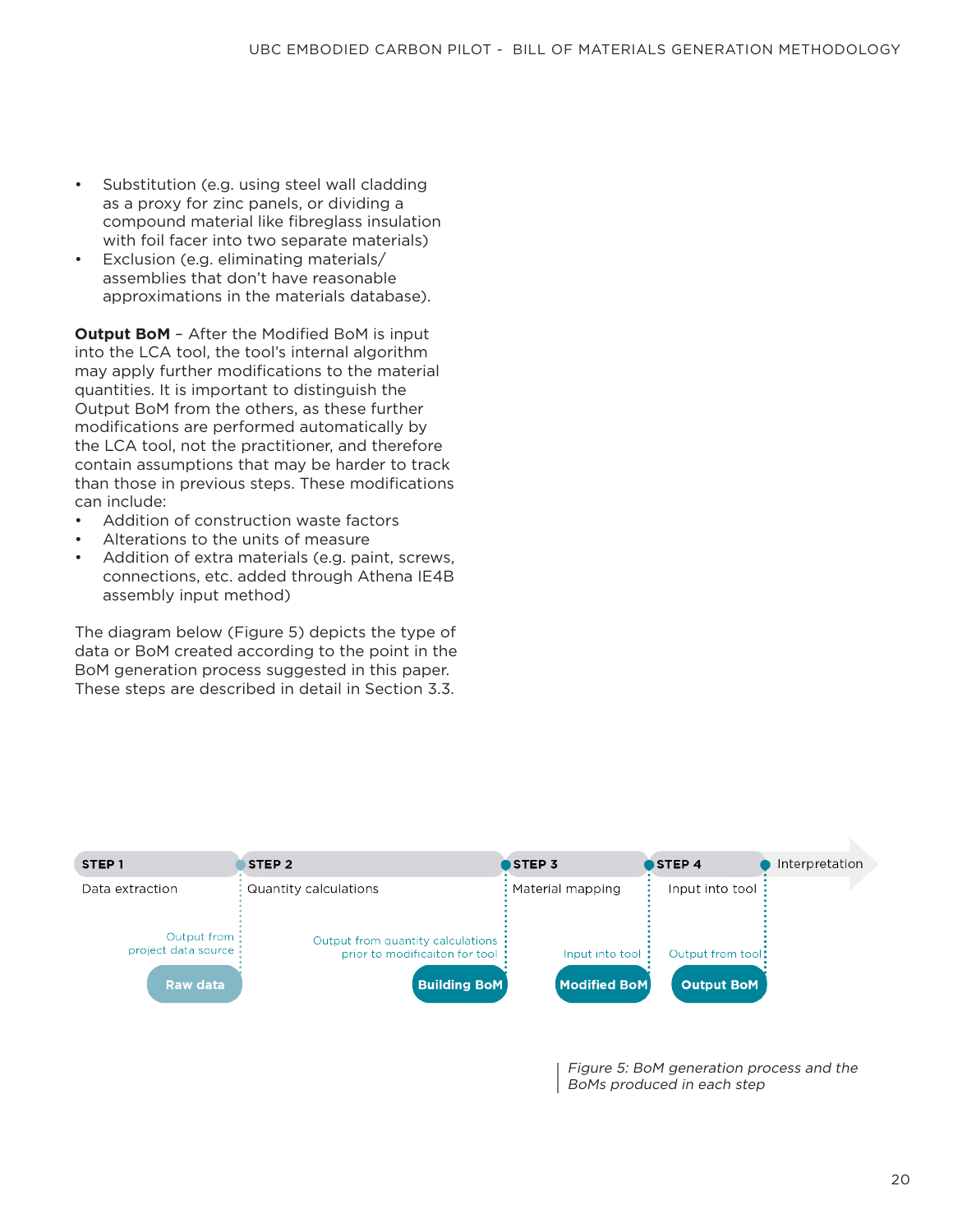- Substitution (e.g. using steel wall cladding as a proxy for zinc panels, or dividing a compound material like fibreglass insulation with foil facer into two separate materials)
- Exclusion (e.g. eliminating materials/ assemblies that don't have reasonable approximations in the materials database).

**Output BoM** – After the Modified BoM is input into the LCA tool, the tool's internal algorithm may apply further modifications to the material quantities. It is important to distinguish the Output BoM from the others, as these further modifications are performed automatically by the LCA tool, not the practitioner, and therefore contain assumptions that may be harder to track than those in previous steps. These modifications can include:

- Addition of construction waste factors
- Alterations to the units of measure
- Addition of extra materials (e.g. paint, screws, connections, etc. added through Athena IE4B assembly input method)

The diagram below (Figure 5) depicts the type of data or BoM created according to the point in the BoM generation process suggested in this paper. These steps are described in detail in Section 3.3.



Figure 5: BoM generation process and the BoMs produced in each step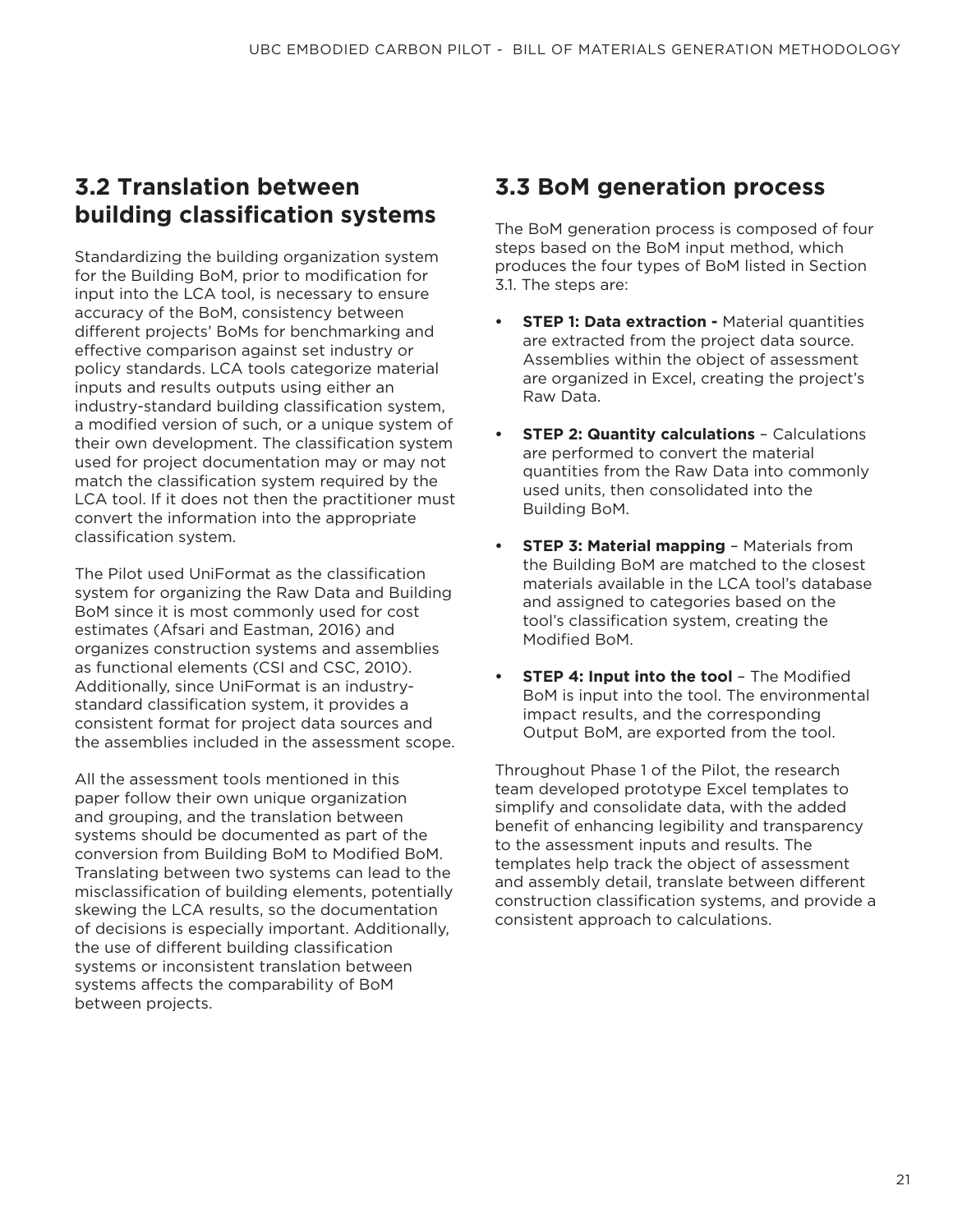### **3.2 Translation between building classification systems**

Standardizing the building organization system for the Building BoM, prior to modification for input into the LCA tool, is necessary to ensure accuracy of the BoM, consistency between different projects' BoMs for benchmarking and effective comparison against set industry or policy standards. LCA tools categorize material inputs and results outputs using either an industry-standard building classification system, a modified version of such, or a unique system of their own development. The classification system used for project documentation may or may not match the classification system required by the LCA tool. If it does not then the practitioner must convert the information into the appropriate classification system.

The Pilot used UniFormat as the classification system for organizing the Raw Data and Building BoM since it is most commonly used for cost estimates (Afsari and Eastman, 2016) and organizes construction systems and assemblies as functional elements (CSI and CSC, 2010). Additionally, since UniFormat is an industrystandard classification system, it provides a consistent format for project data sources and the assemblies included in the assessment scope.

All the assessment tools mentioned in this paper follow their own unique organization and grouping, and the translation between systems should be documented as part of the conversion from Building BoM to Modified BoM. Translating between two systems can lead to the misclassification of building elements, potentially skewing the LCA results, so the documentation of decisions is especially important. Additionally, the use of different building classification systems or inconsistent translation between systems affects the comparability of BoM between projects.

### **3.3 BoM generation process**

The BoM generation process is composed of four steps based on the BoM input method, which produces the four types of BoM listed in Section 3.1. The steps are:

- **STEP 1: Data extraction Material quantities** are extracted from the project data source. Assemblies within the object of assessment are organized in Excel, creating the project's Raw Data.
- **• STEP 2: Quantity calculations** Calculations are performed to convert the material quantities from the Raw Data into commonly used units, then consolidated into the Building BoM.
- **STEP 3: Material mapping Materials from** the Building BoM are matched to the closest materials available in the LCA tool's database and assigned to categories based on the tool's classification system, creating the Modified BoM.
- **• STEP 4: Input into the tool** The Modified BoM is input into the tool. The environmental impact results, and the corresponding Output BoM, are exported from the tool.

Throughout Phase 1 of the Pilot, the research team developed prototype Excel templates to simplify and consolidate data, with the added benefit of enhancing legibility and transparency to the assessment inputs and results. The templates help track the object of assessment and assembly detail, translate between different construction classification systems, and provide a consistent approach to calculations.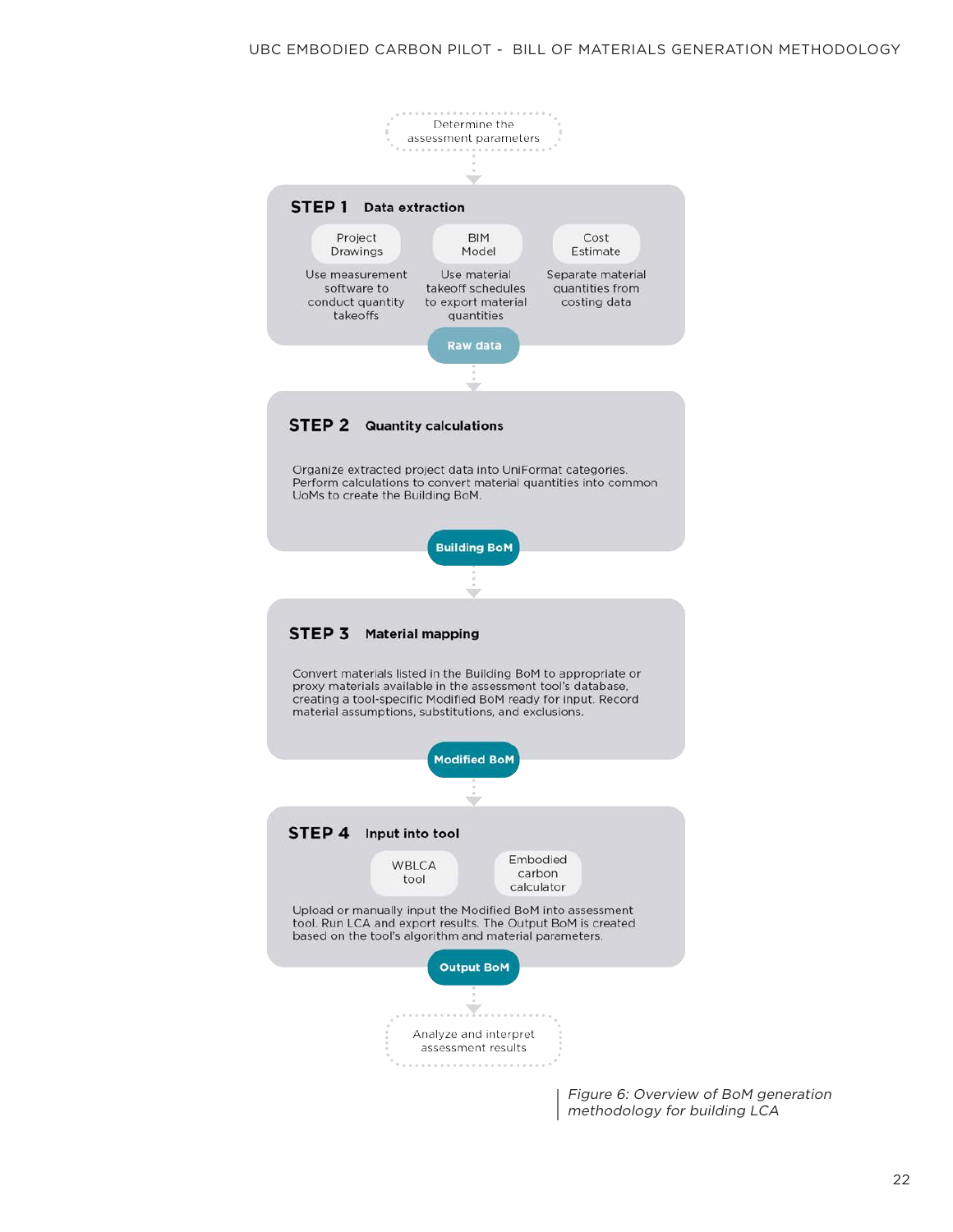

Figure 6: Overview of BoM generation methodology for building LCA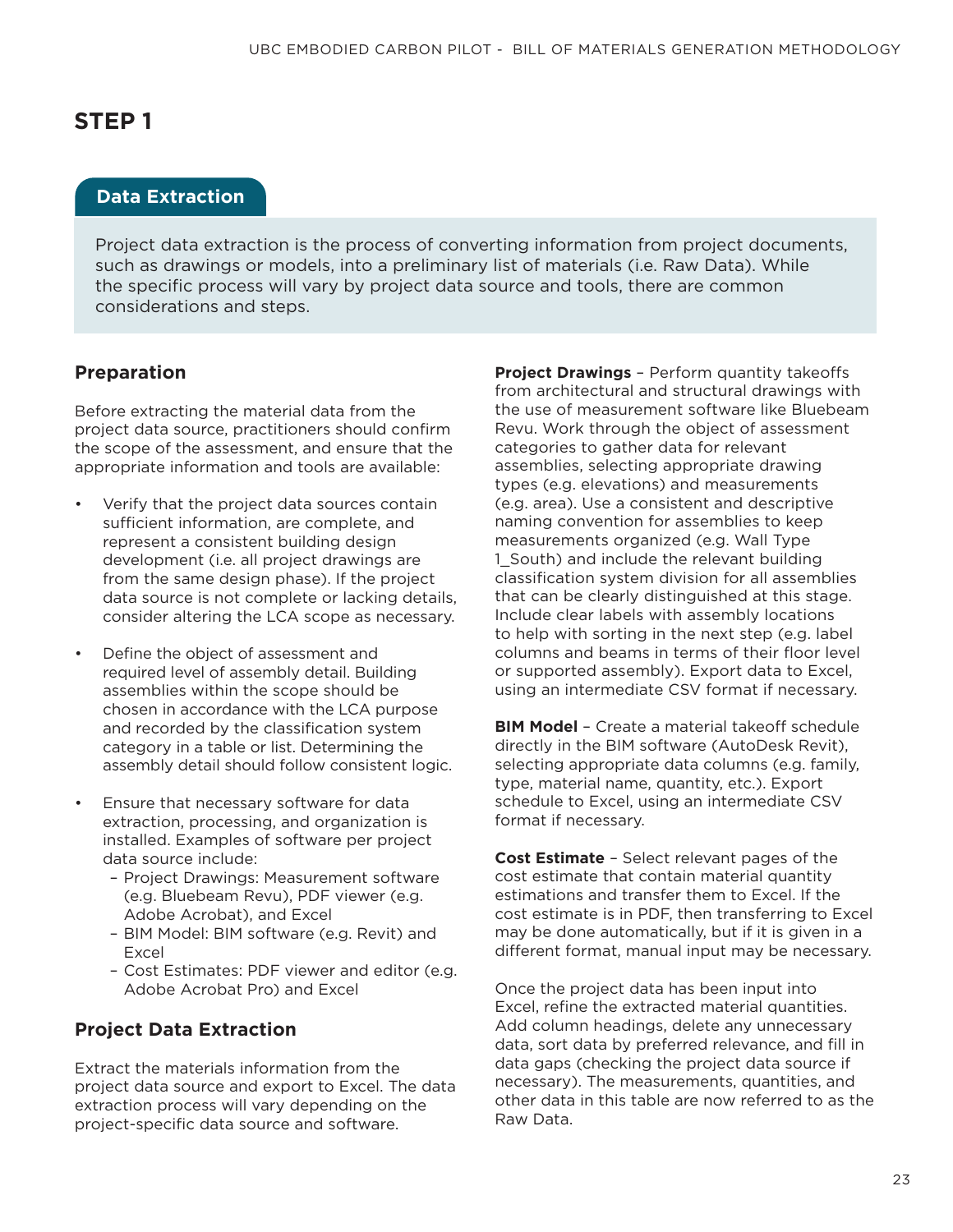#### **Data Extraction**

Project data extraction is the process of converting information from project documents, such as drawings or models, into a preliminary list of materials (i.e. Raw Data). While the specific process will vary by project data source and tools, there are common considerations and steps.

#### **Preparation**

Before extracting the material data from the project data source, practitioners should confirm the scope of the assessment, and ensure that the appropriate information and tools are available:

- Verify that the project data sources contain sufficient information, are complete, and represent a consistent building design development (i.e. all project drawings are from the same design phase). If the project data source is not complete or lacking details, consider altering the LCA scope as necessary.
- Define the object of assessment and required level of assembly detail. Building assemblies within the scope should be chosen in accordance with the LCA purpose and recorded by the classification system category in a table or list. Determining the assembly detail should follow consistent logic.
- Ensure that necessary software for data extraction, processing, and organization is installed. Examples of software per project data source include:
	- Project Drawings: Measurement software (e.g. Bluebeam Revu), PDF viewer (e.g. Adobe Acrobat), and Excel
	- BIM Model: BIM software (e.g. Revit) and Excel
	- Cost Estimates: PDF viewer and editor (e.g. Adobe Acrobat Pro) and Excel

#### **Project Data Extraction**

Extract the materials information from the project data source and export to Excel. The data extraction process will vary depending on the project-specific data source and software.

**Project Drawings** – Perform quantity takeoffs from architectural and structural drawings with the use of measurement software like Bluebeam Revu. Work through the object of assessment categories to gather data for relevant assemblies, selecting appropriate drawing types (e.g. elevations) and measurements (e.g. area). Use a consistent and descriptive naming convention for assemblies to keep measurements organized (e.g. Wall Type 1 South) and include the relevant building classification system division for all assemblies that can be clearly distinguished at this stage. Include clear labels with assembly locations to help with sorting in the next step (e.g. label columns and beams in terms of their floor level or supported assembly). Export data to Excel, using an intermediate CSV format if necessary.

**BIM Model** – Create a material takeoff schedule directly in the BIM software (AutoDesk Revit), selecting appropriate data columns (e.g. family, type, material name, quantity, etc.). Export schedule to Excel, using an intermediate CSV format if necessary.

**Cost Estimate** – Select relevant pages of the cost estimate that contain material quantity estimations and transfer them to Excel. If the cost estimate is in PDF, then transferring to Excel may be done automatically, but if it is given in a different format, manual input may be necessary.

Once the project data has been input into Excel, refine the extracted material quantities. Add column headings, delete any unnecessary data, sort data by preferred relevance, and fill in data gaps (checking the project data source if necessary). The measurements, quantities, and other data in this table are now referred to as the Raw Data.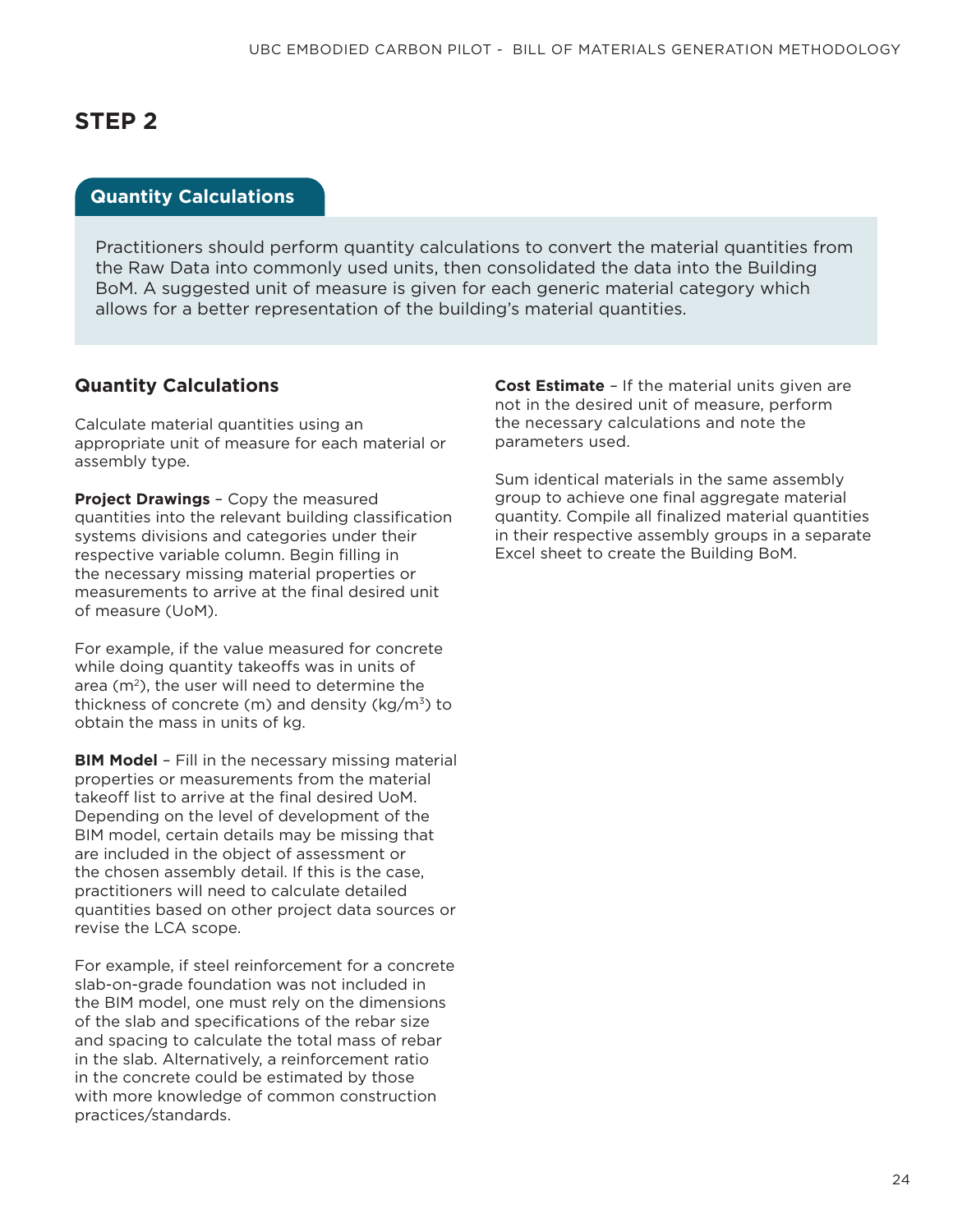#### **Quantity Calculations**

Practitioners should perform quantity calculations to convert the material quantities from the Raw Data into commonly used units, then consolidated the data into the Building BoM. A suggested unit of measure is given for each generic material category which allows for a better representation of the building's material quantities.

#### **Quantity Calculations**

Calculate material quantities using an appropriate unit of measure for each material or assembly type.

**Project Drawings** – Copy the measured quantities into the relevant building classification systems divisions and categories under their respective variable column. Begin filling in the necessary missing material properties or measurements to arrive at the final desired unit of measure (UoM).

For example, if the value measured for concrete while doing quantity takeoffs was in units of area  $(m<sup>2</sup>)$ , the user will need to determine the thickness of concrete (m) and density ( $kg/m<sup>3</sup>$ ) to obtain the mass in units of kg.

**BIM Model** - Fill in the necessary missing material properties or measurements from the material takeoff list to arrive at the final desired UoM. Depending on the level of development of the BIM model, certain details may be missing that are included in the object of assessment or the chosen assembly detail. If this is the case, practitioners will need to calculate detailed quantities based on other project data sources or revise the LCA scope.

For example, if steel reinforcement for a concrete slab-on-grade foundation was not included in the BIM model, one must rely on the dimensions of the slab and specifications of the rebar size and spacing to calculate the total mass of rebar in the slab. Alternatively, a reinforcement ratio in the concrete could be estimated by those with more knowledge of common construction practices/standards.

**Cost Estimate** – If the material units given are not in the desired unit of measure, perform the necessary calculations and note the parameters used.

Sum identical materials in the same assembly group to achieve one final aggregate material quantity. Compile all finalized material quantities in their respective assembly groups in a separate Excel sheet to create the Building BoM.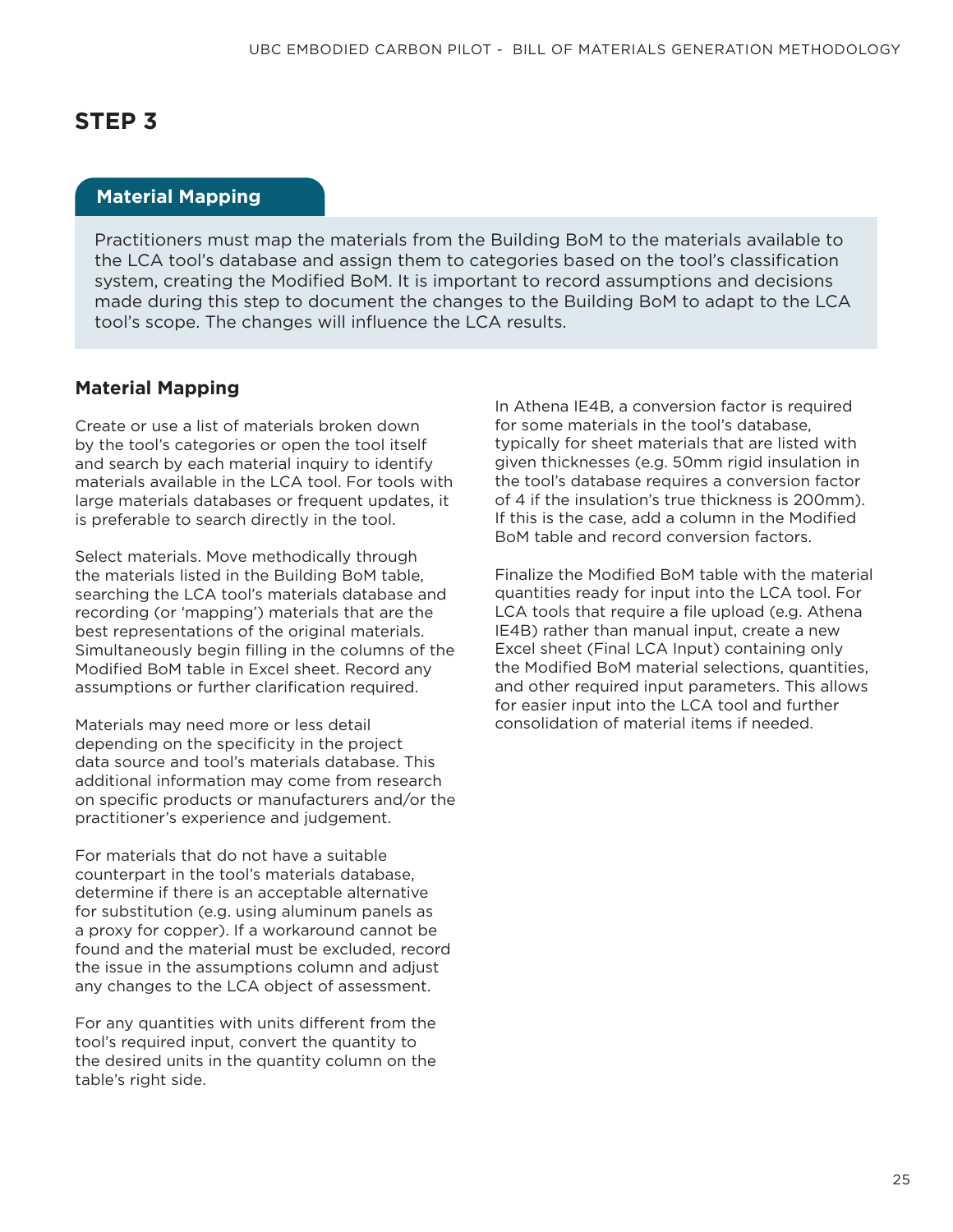#### **Material Mapping**

Practitioners must map the materials from the Building BoM to the materials available to the LCA tool's database and assign them to categories based on the tool's classification system, creating the Modified BoM. It is important to record assumptions and decisions made during this step to document the changes to the Building BoM to adapt to the LCA tool's scope. The changes will influence the LCA results.

#### **Material Mapping**

Create or use a list of materials broken down by the tool's categories or open the tool itself and search by each material inquiry to identify materials available in the LCA tool. For tools with large materials databases or frequent updates, it is preferable to search directly in the tool.

Select materials. Move methodically through the materials listed in the Building BoM table, searching the LCA tool's materials database and recording (or 'mapping') materials that are the best representations of the original materials. Simultaneously begin filling in the columns of the Modified BoM table in Excel sheet. Record any assumptions or further clarification required.

Materials may need more or less detail depending on the specificity in the project data source and tool's materials database. This additional information may come from research on specific products or manufacturers and/or the practitioner's experience and judgement.

For materials that do not have a suitable counterpart in the tool's materials database, determine if there is an acceptable alternative for substitution (e.g. using aluminum panels as a proxy for copper). If a workaround cannot be found and the material must be excluded, record the issue in the assumptions column and adjust any changes to the LCA object of assessment.

For any quantities with units different from the tool's required input, convert the quantity to the desired units in the quantity column on the table's right side.

In Athena IE4B, a conversion factor is required for some materials in the tool's database, typically for sheet materials that are listed with given thicknesses (e.g. 50mm rigid insulation in the tool's database requires a conversion factor of 4 if the insulation's true thickness is 200mm). If this is the case, add a column in the Modified BoM table and record conversion factors.

Finalize the Modified BoM table with the material quantities ready for input into the LCA tool. For LCA tools that require a file upload (e.g. Athena IE4B) rather than manual input, create a new Excel sheet (Final LCA Input) containing only the Modified BoM material selections, quantities, and other required input parameters. This allows for easier input into the LCA tool and further consolidation of material items if needed.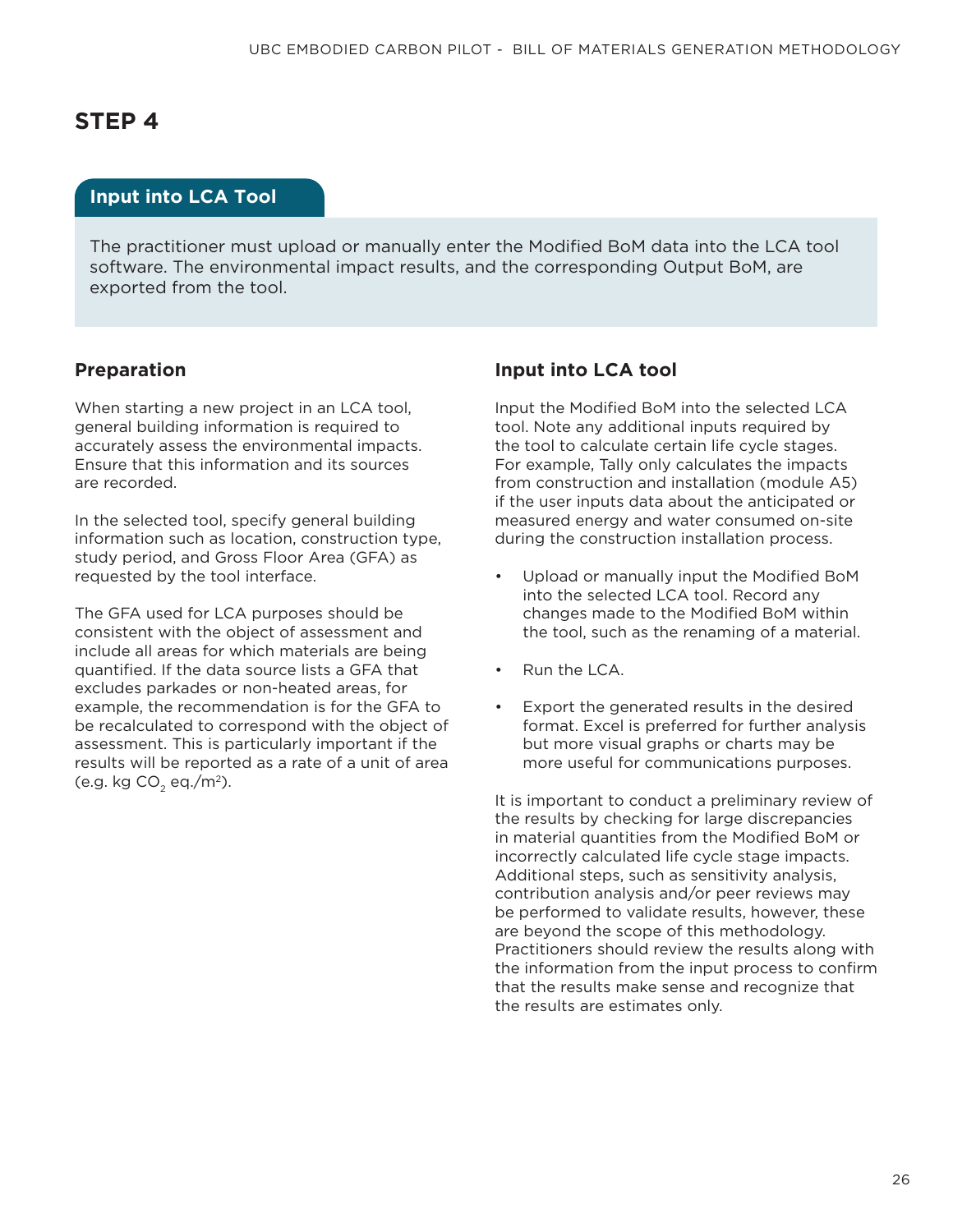#### **Input into LCA Tool**

The practitioner must upload or manually enter the Modified BoM data into the LCA tool software. The environmental impact results, and the corresponding Output BoM, are exported from the tool.

#### **Preparation**

When starting a new project in an LCA tool, general building information is required to accurately assess the environmental impacts. Ensure that this information and its sources are recorded.

In the selected tool, specify general building information such as location, construction type, study period, and Gross Floor Area (GFA) as requested by the tool interface.

The GFA used for LCA purposes should be consistent with the object of assessment and include all areas for which materials are being quantified. If the data source lists a GFA that excludes parkades or non-heated areas, for example, the recommendation is for the GFA to be recalculated to correspond with the object of assessment. This is particularly important if the results will be reported as a rate of a unit of area (e.g. kg  $CO<sub>2</sub>$  eq./m<sup>2</sup>).

#### **Input into LCA tool**

Input the Modified BoM into the selected LCA tool. Note any additional inputs required by the tool to calculate certain life cycle stages. For example, Tally only calculates the impacts from construction and installation (module A5) if the user inputs data about the anticipated or measured energy and water consumed on-site during the construction installation process.

- Upload or manually input the Modified BoM into the selected LCA tool. Record any changes made to the Modified BoM within the tool, such as the renaming of a material.
- Run the LCA.
- Export the generated results in the desired format. Excel is preferred for further analysis but more visual graphs or charts may be more useful for communications purposes.

It is important to conduct a preliminary review of the results by checking for large discrepancies in material quantities from the Modified BoM or incorrectly calculated life cycle stage impacts. Additional steps, such as sensitivity analysis, contribution analysis and/or peer reviews may be performed to validate results, however, these are beyond the scope of this methodology. Practitioners should review the results along with the information from the input process to confirm that the results make sense and recognize that the results are estimates only.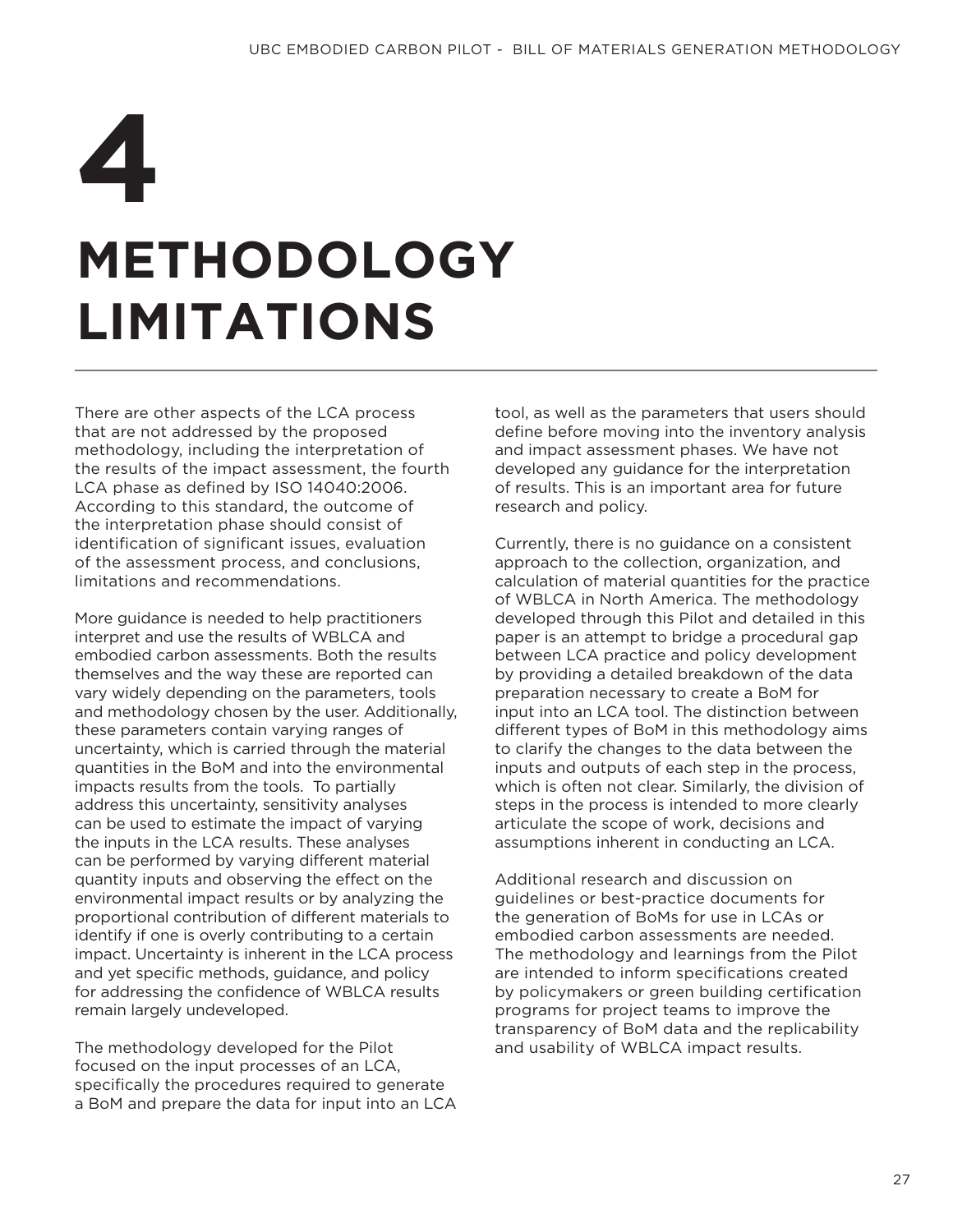## **METHODOLOGY LIMITATIONS 4**

There are other aspects of the LCA process that are not addressed by the proposed methodology, including the interpretation of the results of the impact assessment, the fourth LCA phase as defined by ISO 14040:2006. According to this standard, the outcome of the interpretation phase should consist of identification of significant issues, evaluation of the assessment process, and conclusions, limitations and recommendations.

More guidance is needed to help practitioners interpret and use the results of WBLCA and embodied carbon assessments. Both the results themselves and the way these are reported can vary widely depending on the parameters, tools and methodology chosen by the user. Additionally, these parameters contain varying ranges of uncertainty, which is carried through the material quantities in the BoM and into the environmental impacts results from the tools. To partially address this uncertainty, sensitivity analyses can be used to estimate the impact of varying the inputs in the LCA results. These analyses can be performed by varying different material quantity inputs and observing the effect on the environmental impact results or by analyzing the proportional contribution of different materials to identify if one is overly contributing to a certain impact. Uncertainty is inherent in the LCA process and yet specific methods, guidance, and policy for addressing the confidence of WBLCA results remain largely undeveloped.

The methodology developed for the Pilot focused on the input processes of an LCA, specifically the procedures required to generate a BoM and prepare the data for input into an LCA tool, as well as the parameters that users should define before moving into the inventory analysis and impact assessment phases. We have not developed any guidance for the interpretation of results. This is an important area for future research and policy.

Currently, there is no guidance on a consistent approach to the collection, organization, and calculation of material quantities for the practice of WBLCA in North America. The methodology developed through this Pilot and detailed in this paper is an attempt to bridge a procedural gap between LCA practice and policy development by providing a detailed breakdown of the data preparation necessary to create a BoM for input into an LCA tool. The distinction between different types of BoM in this methodology aims to clarify the changes to the data between the inputs and outputs of each step in the process, which is often not clear. Similarly, the division of steps in the process is intended to more clearly articulate the scope of work, decisions and assumptions inherent in conducting an LCA.

Additional research and discussion on guidelines or best-practice documents for the generation of BoMs for use in LCAs or embodied carbon assessments are needed. The methodology and learnings from the Pilot are intended to inform specifications created by policymakers or green building certification programs for project teams to improve the transparency of BoM data and the replicability and usability of WBLCA impact results.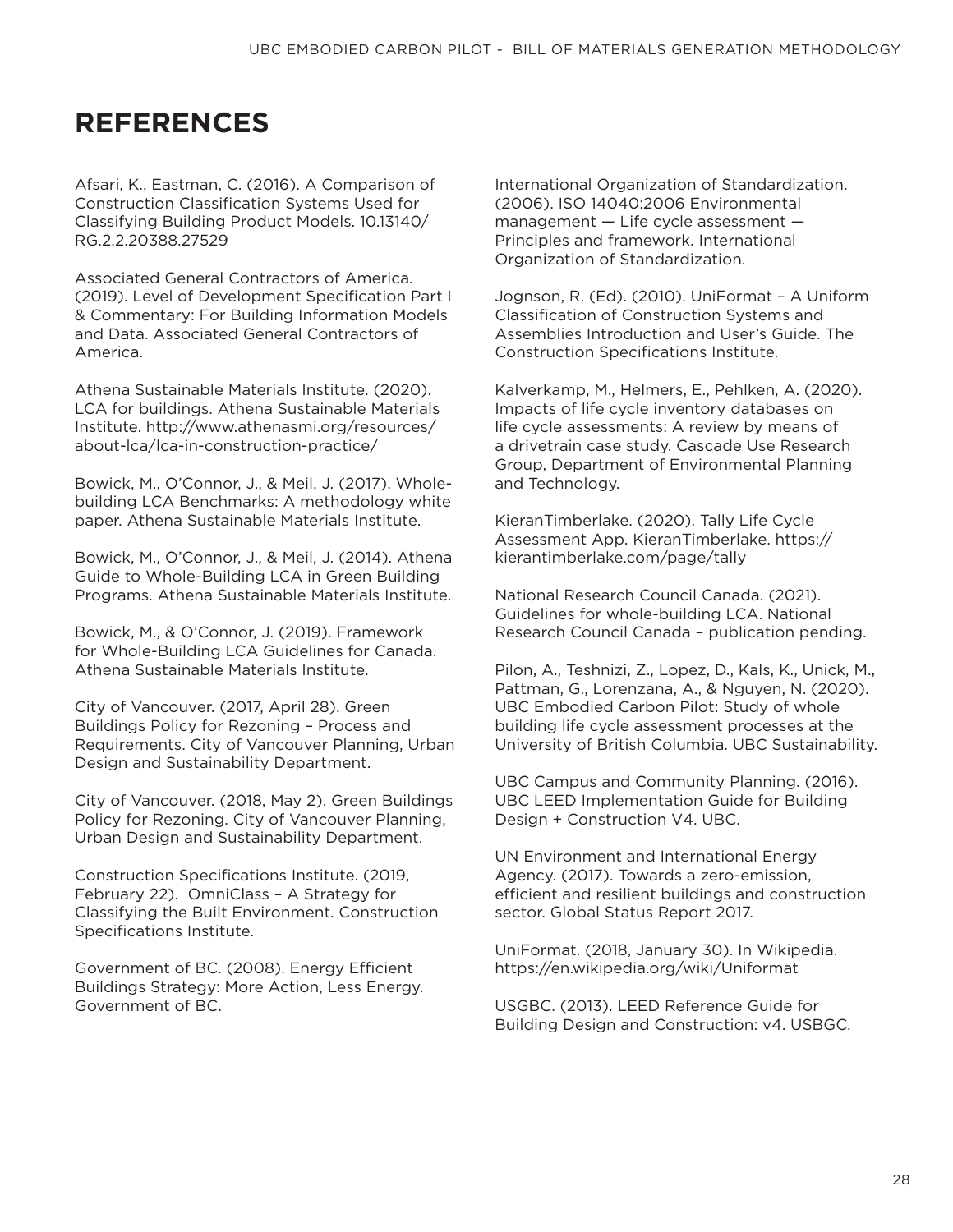## **REFERENCES**

Afsari, K., Eastman, C. (2016). A Comparison of Construction Classification Systems Used for Classifying Building Product Models. 10.13140/ RG.2.2.20388.27529

Associated General Contractors of America. (2019). Level of Development Specification Part I & Commentary: For Building Information Models and Data. Associated General Contractors of America.

Athena Sustainable Materials Institute. (2020). LCA for buildings. Athena Sustainable Materials Institute. http://www.athenasmi.org/resources/ about-lca/lca-in-construction-practice/

Bowick, M., O'Connor, J., & Meil, J. (2017). Wholebuilding LCA Benchmarks: A methodology white paper. Athena Sustainable Materials Institute.

Bowick, M., O'Connor, J., & Meil, J. (2014). Athena Guide to Whole-Building LCA in Green Building Programs. Athena Sustainable Materials Institute.

Bowick, M., & O'Connor, J. (2019). Framework for Whole-Building LCA Guidelines for Canada. Athena Sustainable Materials Institute.

City of Vancouver. (2017, April 28). Green Buildings Policy for Rezoning – Process and Requirements. City of Vancouver Planning, Urban Design and Sustainability Department.

City of Vancouver. (2018, May 2). Green Buildings Policy for Rezoning. City of Vancouver Planning, Urban Design and Sustainability Department.

Construction Specifications Institute. (2019, February 22). OmniClass – A Strategy for Classifying the Built Environment. Construction Specifications Institute.

Government of BC. (2008). Energy Efficient Buildings Strategy: More Action, Less Energy. Government of BC.

International Organization of Standardization. (2006). ISO 14040:2006 Environmental management — Life cycle assessment — Principles and framework. International Organization of Standardization.

Jognson, R. (Ed). (2010). UniFormat – A Uniform Classification of Construction Systems and Assemblies Introduction and User's Guide. The Construction Specifications Institute.

Kalverkamp, M., Helmers, E., Pehlken, A. (2020). Impacts of life cycle inventory databases on life cycle assessments: A review by means of a drivetrain case study. Cascade Use Research Group, Department of Environmental Planning and Technology.

KieranTimberlake. (2020). Tally Life Cycle Assessment App. KieranTimberlake. https:// kierantimberlake.com/page/tally

National Research Council Canada. (2021). Guidelines for whole-building LCA. National Research Council Canada – publication pending.

Pilon, A., Teshnizi, Z., Lopez, D., Kals, K., Unick, M., Pattman, G., Lorenzana, A., & Nguyen, N. (2020). UBC Embodied Carbon Pilot: Study of whole building life cycle assessment processes at the University of British Columbia. UBC Sustainability.

UBC Campus and Community Planning. (2016). UBC LEED Implementation Guide for Building Design + Construction V4. UBC.

UN Environment and International Energy Agency. (2017). Towards a zero-emission, efficient and resilient buildings and construction sector. Global Status Report 2017.

UniFormat. (2018, January 30). In Wikipedia. https://en.wikipedia.org/wiki/Uniformat

USGBC. (2013). LEED Reference Guide for Building Design and Construction: v4. USBGC.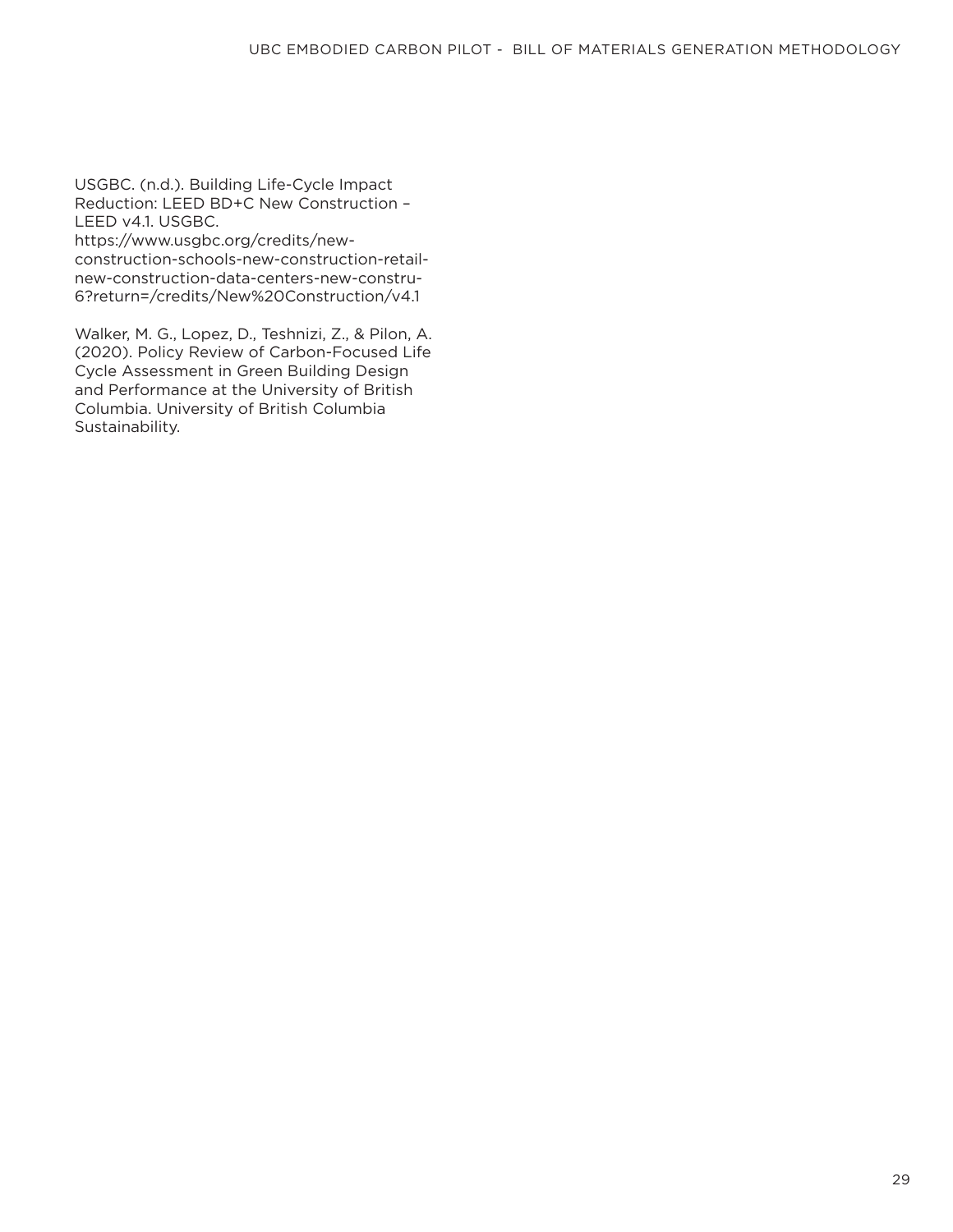USGBC. (n.d.). Building Life-Cycle Impact Reduction: LEED BD+C New Construction – LEED v4.1. USGBC.

https://www.usgbc.org/credits/newconstruction-schools-new-construction-retailnew-construction-data-centers-new-constru-6?return=/credits/New%20Construction/v4.1

Walker, M. G., Lopez, D., Teshnizi, Z., & Pilon, A. (2020). Policy Review of Carbon-Focused Life Cycle Assessment in Green Building Design and Performance at the University of British Columbia. University of British Columbia Sustainability.